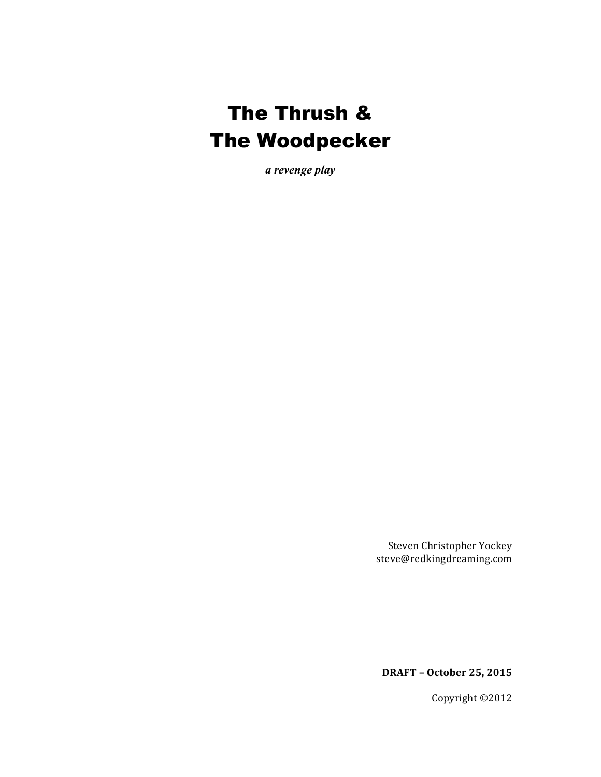# The Thrush & The Woodpecker

*a revenge play*

Steven Christopher Yockey steve@redkingdreaming.com

**DRAFT – October 25, 2015**

Copyright ©2012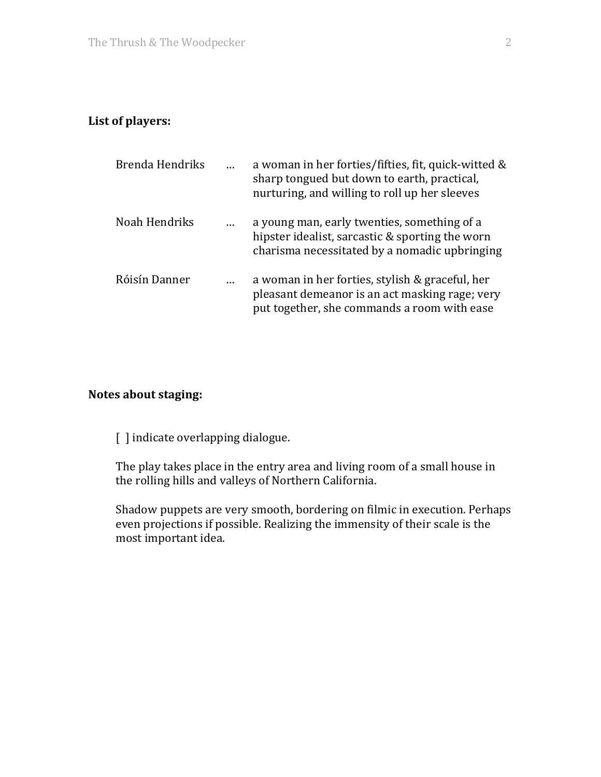## List of players:

| Brenda Hendriks | a woman in her forties/fifties, fit, quick-witted &<br>sharp tongued but down to earth, practical,<br>nurturing, and willing to roll up her sleeves |
|-----------------|-----------------------------------------------------------------------------------------------------------------------------------------------------|
| Noah Hendriks   | a young man, early twenties, something of a<br>hipster idealist, sarcastic & sporting the worn<br>charisma necessitated by a nomadic upbringing     |
| Róisín Danner   | a woman in her forties, stylish & graceful, her<br>pleasant demeanor is an act masking rage; very<br>put together, she commands a room with ease    |

## **Notes about staging:**

[ ] indicate overlapping dialogue.

The play takes place in the entry area and living room of a small house in the rolling hills and valleys of Northern California.

Shadow puppets are very smooth, bordering on filmic in execution. Perhaps even projections if possible. Realizing the immensity of their scale is the most important idea.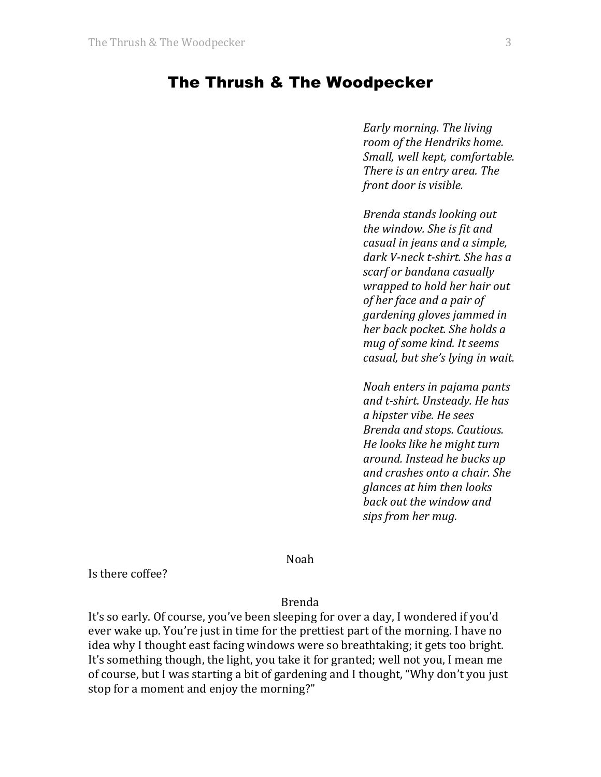## The Thrush & The Woodpecker

*Early morning. The living room of the Hendriks home. Small, well kept, comfortable. There is an entry area. The front door is visible.* 

*Brenda stands looking out the window. She is fit and casual in jeans and a simple,* dark V-neck t-shirt. She has a scarf or bandana casually *wrapped to hold her hair out of her face and a pair of gardening gloves jammed in her back pocket. She holds a mug of some kind. It seems casual, but she's lying in wait.* 

*Noah enters in pajama pants and t-shirt. Unsteady. He has a hipster vibe. He sees Brenda and stops. Cautious. He looks like he might turn around. Instead he bucks up and crashes onto a chair. She glances at him then looks back out the window and* sips from her mug.

Noah

Is there coffee?

Brenda

It's so early. Of course, you've been sleeping for over a day, I wondered if you'd ever wake up. You're just in time for the prettiest part of the morning. I have no idea why I thought east facing windows were so breathtaking; it gets too bright. It's something though, the light, you take it for granted; well not you, I mean me of course, but I was starting a bit of gardening and I thought, "Why don't you just stop for a moment and enjoy the morning?"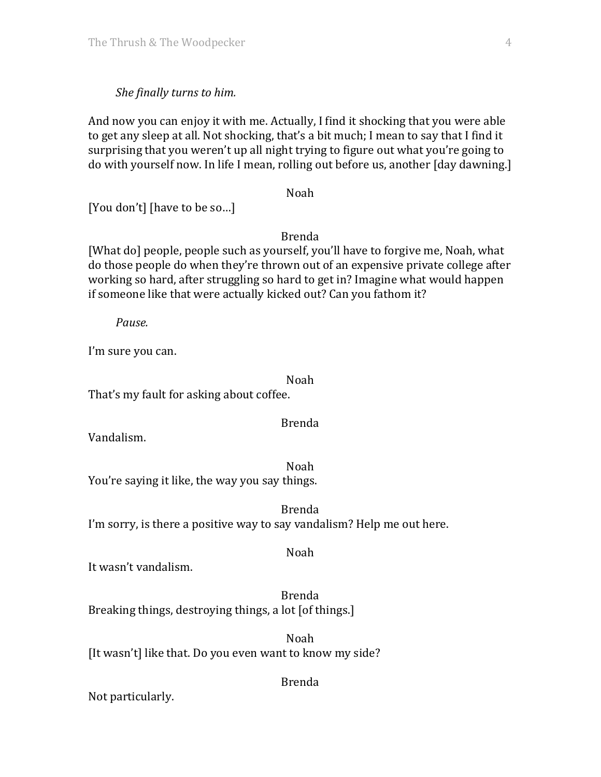#### *She finally turns to him.*

And now you can enjoy it with me. Actually, I find it shocking that you were able to get any sleep at all. Not shocking, that's a bit much; I mean to say that I find it surprising that you weren't up all night trying to figure out what you're going to do with yourself now. In life I mean, rolling out before us, another [day dawning.]

Noah

[You don't] [have to be so...]

Brenda

[What do] people, people such as yourself, you'll have to forgive me, Noah, what do those people do when they're thrown out of an expensive private college after working so hard, after struggling so hard to get in? Imagine what would happen if someone like that were actually kicked out? Can you fathom it?

*Pause.*

I'm sure you can.

Noah

That's my fault for asking about coffee.

Brenda

Noah

Vandalism.

Noah You're saying it like, the way you say things.

Brenda I'm sorry, is there a positive way to say vandalism? Help me out here.

It wasn't vandalism.

Brenda Breaking things, destroying things, a lot [of things.]

Noah [It wasn't] like that. Do you even want to know my side?

Brenda

Not particularly.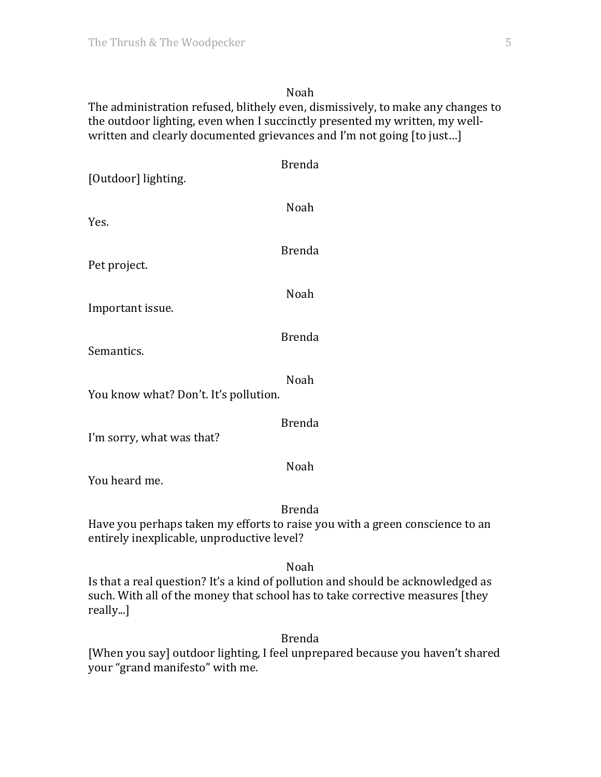#### Noah

The administration refused, blithely even, dismissively, to make any changes to the outdoor lighting, even when I succinctly presented my written, my wellwritten and clearly documented grievances and I'm not going [to just...]

| [Outdoor] lighting.                        | <b>Brenda</b>                                                                                 |
|--------------------------------------------|-----------------------------------------------------------------------------------------------|
| Yes.                                       | Noah                                                                                          |
| Pet project.                               | <b>Brenda</b>                                                                                 |
| Important issue.                           | Noah                                                                                          |
| Semantics.                                 | <b>Brenda</b>                                                                                 |
| You know what? Don't. It's pollution.      | Noah                                                                                          |
|                                            | <b>Brenda</b>                                                                                 |
| I'm sorry, what was that?<br>You heard me. | Noah                                                                                          |
| entirely inexplicable, unproductive level? | <b>Brenda</b><br>Have you perhaps taken my efforts to raise you with a green conscience to an |
|                                            | Noah                                                                                          |

Is that a real question? It's a kind of pollution and should be acknowledged as such. With all of the money that school has to take corrective measures [they really...]

Brenda

[When you say] outdoor lighting, I feel unprepared because you haven't shared your "grand manifesto" with me.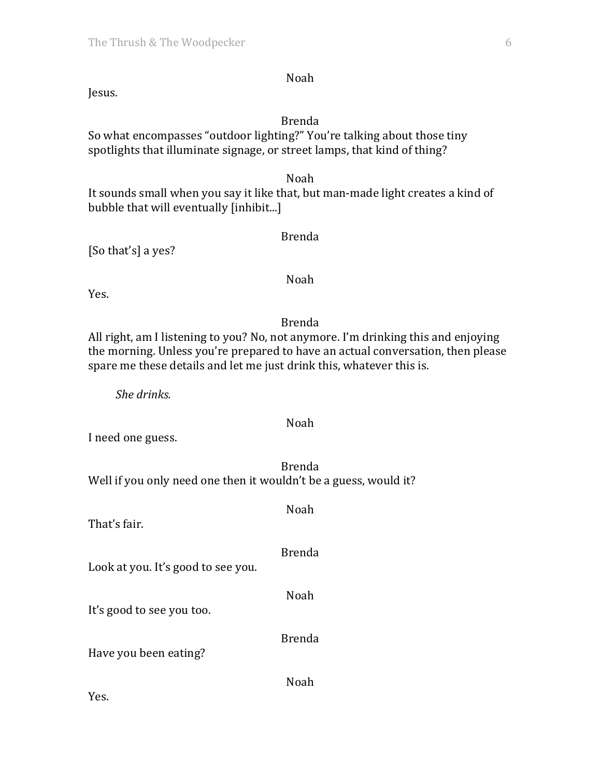Jesus.

#### Brenda

Noah

So what encompasses "outdoor lighting?" You're talking about those tiny spotlights that illuminate signage, or street lamps, that kind of thing?

Noah

Brenda

It sounds small when you say it like that, but man-made light creates a kind of bubble that will eventually [inhibit...]

[So that's] a yes?

Yes.

Brenda

Noah

All right, am I listening to you? No, not anymore. I'm drinking this and enjoying the morning. Unless you're prepared to have an actual conversation, then please spare me these details and let me just drink this, whatever this is.

*She drinks.*

#### Noah

I need one guess.

Brenda Well if you only need one then it wouldn't be a guess, would it?

Noah That's fair. Brenda Look at you. It's good to see you. Noah It's good to see you too. Brenda Have you been eating? Noah

Yes.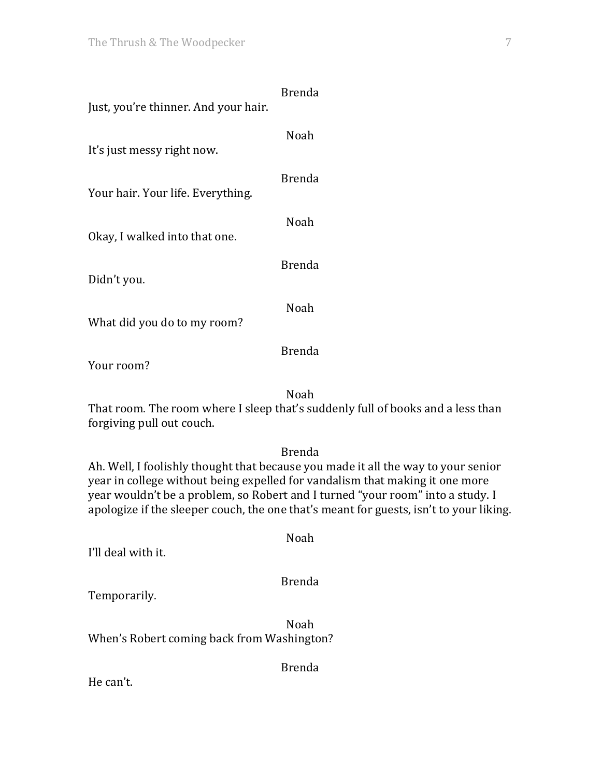| Just, you're thinner. And your hair. | Brenda |
|--------------------------------------|--------|
| It's just messy right now.           | Noah   |
| Your hair. Your life. Everything.    | Brenda |
| Okay, I walked into that one.        | Noah   |
| Didn't you.                          | Brenda |
| What did you do to my room?          | Noah   |

Your room?

Noah

That room. The room where I sleep that's suddenly full of books and a less than forgiving pull out couch.

#### Brenda

Ah. Well, I foolishly thought that because you made it all the way to your senior year in college without being expelled for vandalism that making it one more year wouldn't be a problem, so Robert and I turned "your room" into a study. I apologize if the sleeper couch, the one that's meant for guests, isn't to your liking.

| I'll deal with it.      | Noah          |
|-------------------------|---------------|
| Temporarily.            | <b>Brenda</b> |
| 1471 ו-110 חווי - 1 הוד | Noah          |

When's Robert coming back from Washington?

Brenda

He can't.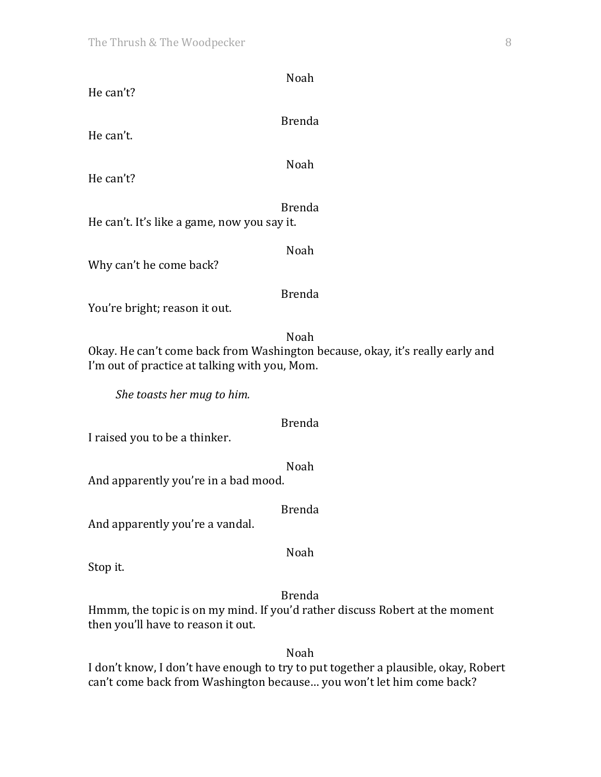| Noah                                                                                                              |  |
|-------------------------------------------------------------------------------------------------------------------|--|
| He can't?                                                                                                         |  |
| <b>Brenda</b>                                                                                                     |  |
| He can't.                                                                                                         |  |
|                                                                                                                   |  |
| Noah<br>He can't?                                                                                                 |  |
|                                                                                                                   |  |
| <b>Brenda</b>                                                                                                     |  |
| He can't. It's like a game, now you say it.                                                                       |  |
| Noah                                                                                                              |  |
| Why can't he come back?                                                                                           |  |
| <b>Brenda</b>                                                                                                     |  |
| You're bright; reason it out.                                                                                     |  |
| Noah                                                                                                              |  |
| Okay. He can't come back from Washington because, okay, it's really early and                                     |  |
| I'm out of practice at talking with you, Mom.                                                                     |  |
|                                                                                                                   |  |
| She toasts her mug to him.                                                                                        |  |
| <b>Brenda</b>                                                                                                     |  |
| I raised you to be a thinker.                                                                                     |  |
| Noah                                                                                                              |  |
| And apparently you're in a bad mood.                                                                              |  |
| <b>Brenda</b>                                                                                                     |  |
| And apparently you're a vandal.                                                                                   |  |
|                                                                                                                   |  |
| Noah<br>Stop it.                                                                                                  |  |
|                                                                                                                   |  |
| <b>Brenda</b>                                                                                                     |  |
| Hmmm, the topic is on my mind. If you'd rather discuss Robert at the moment<br>then you'll have to reason it out. |  |
|                                                                                                                   |  |

I don't know, I don't have enough to try to put together a plausible, okay, Robert can't come back from Washington because... you won't let him come back?

Noah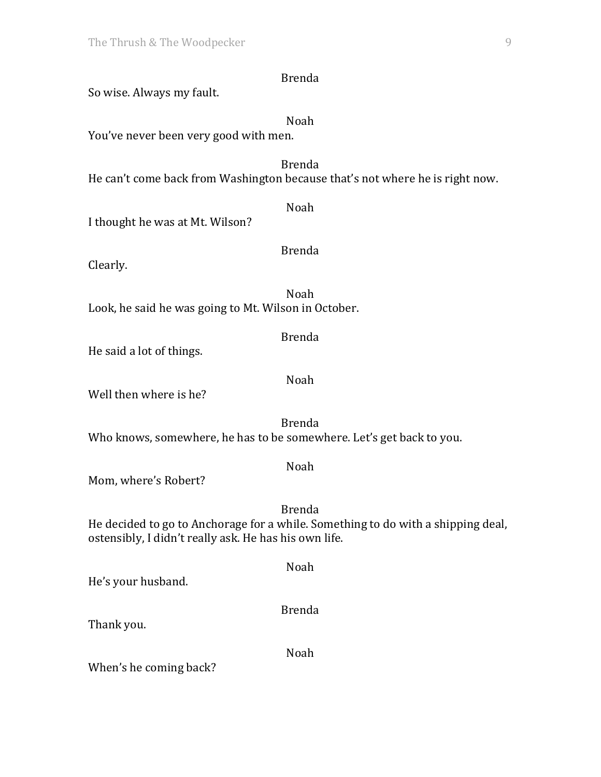So wise. Always my fault.

| Noah<br>You've never been very good with men.                                                                                                              |  |  |
|------------------------------------------------------------------------------------------------------------------------------------------------------------|--|--|
| <b>Brenda</b><br>He can't come back from Washington because that's not where he is right now.                                                              |  |  |
| Noah<br>I thought he was at Mt. Wilson?                                                                                                                    |  |  |
| <b>Brenda</b><br>Clearly.                                                                                                                                  |  |  |
| Noah<br>Look, he said he was going to Mt. Wilson in October.                                                                                               |  |  |
| <b>Brenda</b><br>He said a lot of things.                                                                                                                  |  |  |
| <b>Noah</b><br>Well then where is he?                                                                                                                      |  |  |
| <b>Brenda</b><br>Who knows, somewhere, he has to be somewhere. Let's get back to you.                                                                      |  |  |
| Noah<br>Mom, where's Robert?                                                                                                                               |  |  |
| <b>Brenda</b><br>He decided to go to Anchorage for a while. Something to do with a shipping deal,<br>ostensibly, I didn't really ask. He has his own life. |  |  |
| Noah<br>He's your husband.                                                                                                                                 |  |  |
| <b>Brenda</b><br>Thank you.                                                                                                                                |  |  |
| Noah<br>When's he coming back?                                                                                                                             |  |  |

Brenda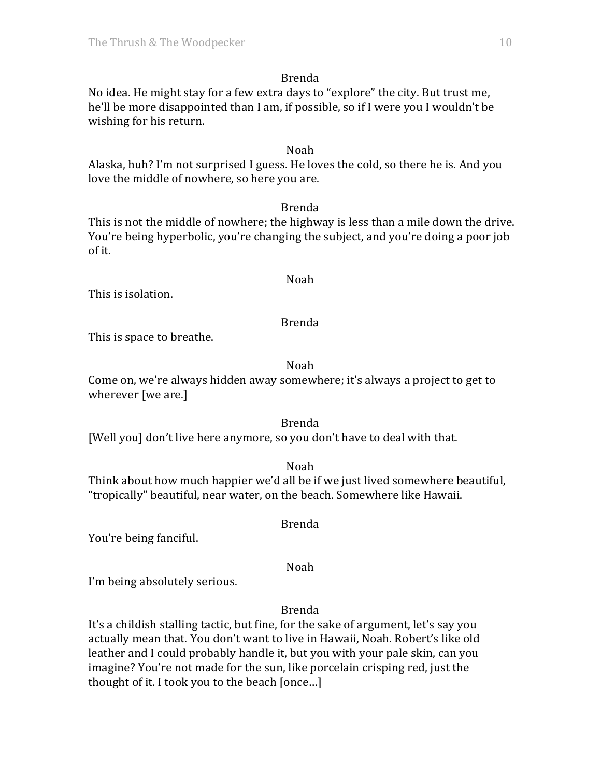No idea. He might stay for a few extra days to "explore" the city. But trust me, he'll be more disappointed than I am, if possible, so if I were you I wouldn't be wishing for his return.

### Noah

Alaska, huh? I'm not surprised I guess. He loves the cold, so there he is. And you love the middle of nowhere, so here you are.

Brenda

This is not the middle of nowhere; the highway is less than a mile down the drive. You're being hyperbolic, you're changing the subject, and you're doing a poor job of it.

## This is isolation.

## Brenda

Noah

This is space to breathe.

### Noah

Come on, we're always hidden away somewhere; it's always a project to get to wherever [we are.]

#### Brenda

[Well you] don't live here anymore, so you don't have to deal with that.

Noah

Think about how much happier we'd all be if we just lived somewhere beautiful, "tropically" beautiful, near water, on the beach. Somewhere like Hawaii.

You're being fanciful.

Noah

Brenda

I'm being absolutely serious.

Brenda

It's a childish stalling tactic, but fine, for the sake of argument, let's say you actually mean that. You don't want to live in Hawaii, Noah. Robert's like old leather and I could probably handle it, but you with your pale skin, can you imagine? You're not made for the sun, like porcelain crisping red, just the thought of it. I took you to the beach [once...]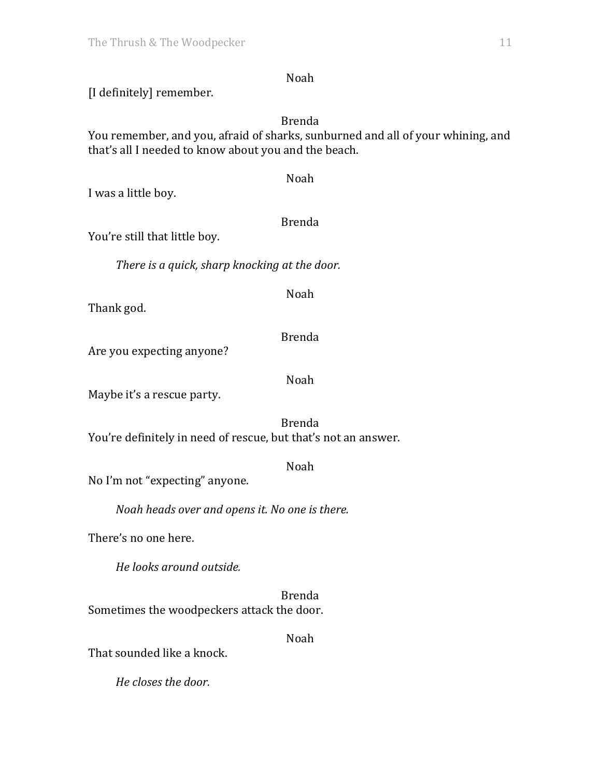Noah

[I definitely] remember.

Brenda

You remember, and you, afraid of sharks, sunburned and all of your whining, and that's all I needed to know about you and the beach.

Noah I was a little boy. Brenda You're still that little boy. There is a quick, sharp knocking at the door. Noah

Thank god.

Brenda

Are you expecting anyone?

Noah

Maybe it's a rescue party.

Brenda You're definitely in need of rescue, but that's not an answer.

Noah

No I'm not "expecting" anyone.

*Noah heads over and opens it. No one is there.* 

There's no one here.

*He looks around outside.*

Brenda Sometimes the woodpeckers attack the door.

Noah

That sounded like a knock.

*He closes the door.*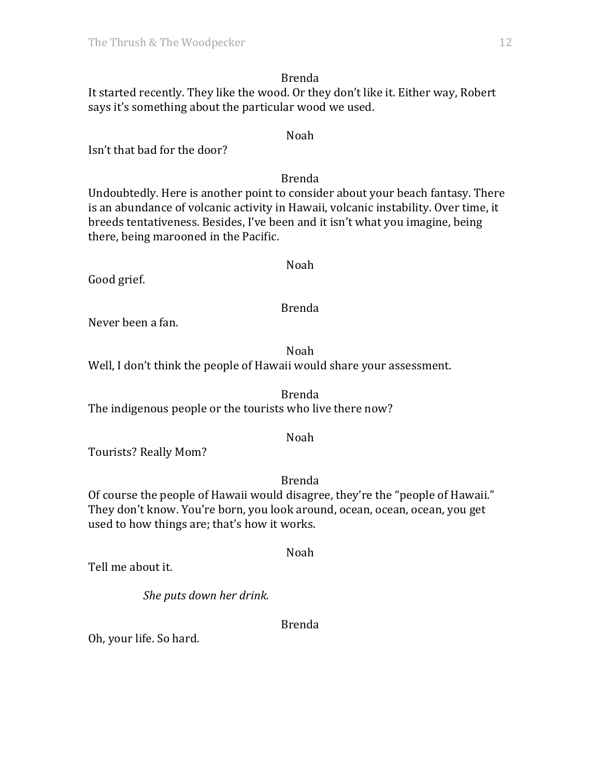Brenda It started recently. They like the wood. Or they don't like it. Either way, Robert says it's something about the particular wood we used.

Isn't that bad for the door?

#### Brenda

Noah

Undoubtedly. Here is another point to consider about your beach fantasy. There is an abundance of volcanic activity in Hawaii, volcanic instability. Over time, it breeds tentativeness. Besides, I've been and it isn't what you imagine, being there, being marooned in the Pacific.

Good grief.

Noah

Brenda

Never been a fan.

Noah

Well, I don't think the people of Hawaii would share your assessment.

Brenda The indigenous people or the tourists who live there now?

#### Noah

Tourists? Really Mom?

## Brenda

Noah

Of course the people of Hawaii would disagree, they're the "people of Hawaii." They don't know. You're born, you look around, ocean, ocean, ocean, you get used to how things are; that's how it works.

Tell me about it.

*She puts down her drink.*

#### Brenda

Oh, your life. So hard.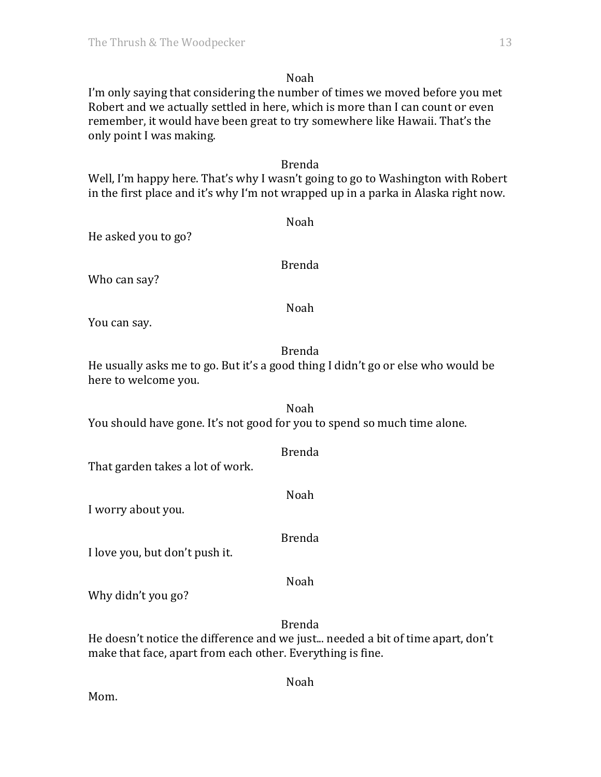## Noah

I'm only saying that considering the number of times we moved before you met Robert and we actually settled in here, which is more than I can count or even remember, it would have been great to try somewhere like Hawaii. That's the only point I was making.

#### Brenda

Well, I'm happy here. That's why I wasn't going to go to Washington with Robert in the first place and it's why I'm not wrapped up in a parka in Alaska right now.

He asked you to go?

Who can say?

Brenda

Noah

Noah

You can say.

### Brenda

He usually asks me to go. But it's a good thing I didn't go or else who would be here to welcome you.

Noah You should have gone. It's not good for you to spend so much time alone.

| That garden takes a lot of work. | <b>Brenda</b> |
|----------------------------------|---------------|
| I worry about you.               | Noah          |
| I love you, but don't push it.   | <b>Brenda</b> |
| Why didn't you go?               | Noah          |
|                                  | <b>Brenda</b> |

He doesn't notice the difference and we just... needed a bit of time apart, don't make that face, apart from each other. Everything is fine.

Noah

Mom.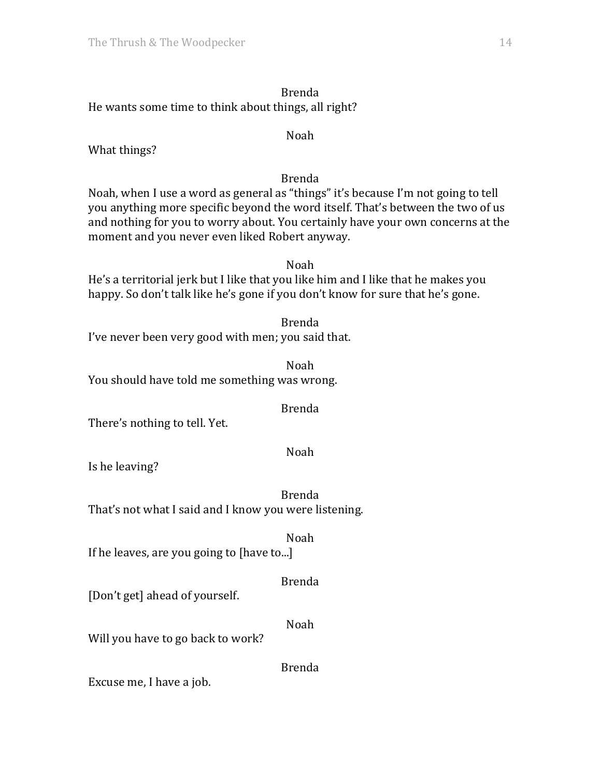## Brenda He wants some time to think about things, all right?

#### Noah

What things?

Brenda

Noah, when I use a word as general as "things" it's because I'm not going to tell you anything more specific beyond the word itself. That's between the two of us and nothing for you to worry about. You certainly have your own concerns at the moment and you never even liked Robert anyway.

Noah He's a territorial jerk but I like that you like him and I like that he makes you happy. So don't talk like he's gone if you don't know for sure that he's gone.

Brenda I've never been very good with men; you said that.

Noah You should have told me something was wrong.

#### Brenda

There's nothing to tell. Yet.

Noah

Is he leaving?

Brenda That's not what I said and I know you were listening.

Noah

If he leaves, are you going to [have to...]

## Brenda

[Don't get] ahead of yourself.

Noah

Will you have to go back to work?

Brenda

Excuse me, I have a job.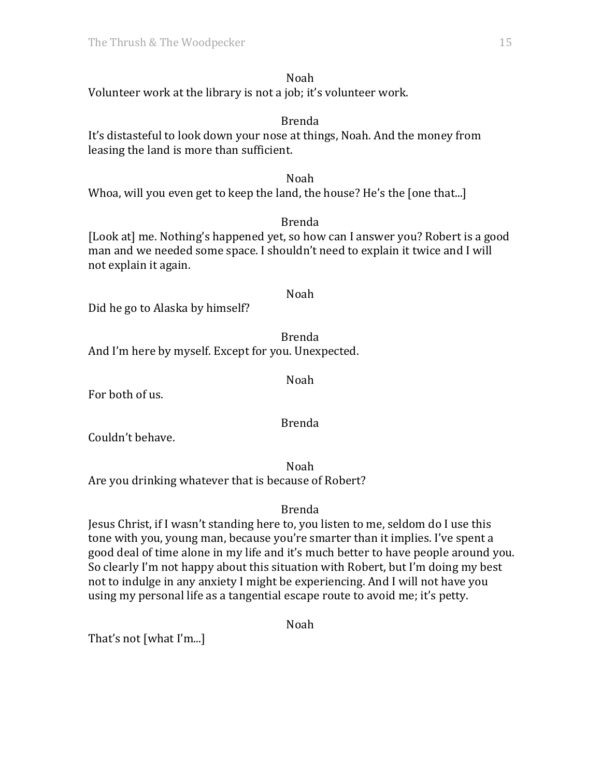# Noah

Volunteer work at the library is not a job; it's volunteer work.

### Brenda

It's distasteful to look down your nose at things, Noah. And the money from leasing the land is more than sufficient.

## Noah

Whoa, will you even get to keep the land, the house? He's the [one that...]

## Brenda

[Look at] me. Nothing's happened yet, so how can I answer you? Robert is a good man and we needed some space. I shouldn't need to explain it twice and I will not explain it again.

## Noah

Did he go to Alaska by himself?

Brenda And I'm here by myself. Except for you. Unexpected.

Noah

For both of us.

Brenda

Couldn't behave.

Noah Are you drinking whatever that is because of Robert?

## Brenda

Jesus Christ, if I wasn't standing here to, you listen to me, seldom do I use this tone with you, young man, because you're smarter than it implies. I've spent a good deal of time alone in my life and it's much better to have people around you. So clearly I'm not happy about this situation with Robert, but I'm doing my best not to indulge in any anxiety I might be experiencing. And I will not have you using my personal life as a tangential escape route to avoid me; it's petty.

Noah

That's not  $[what'I'm...]$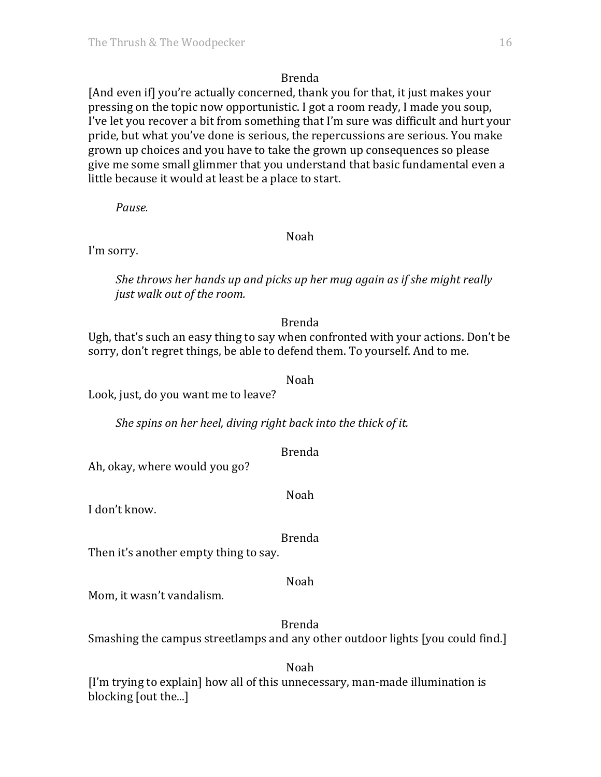[And even if] you're actually concerned, thank you for that, it just makes your pressing on the topic now opportunistic. I got a room ready, I made you soup, I've let you recover a bit from something that I'm sure was difficult and hurt your pride, but what you've done is serious, the repercussions are serious. You make grown up choices and you have to take the grown up consequences so please give me some small glimmer that you understand that basic fundamental even a little because it would at least be a place to start.

*Pause.*

#### Noah

I'm sorry.

*She throws her hands up and picks up her mug again as if she might really just* walk out of the room.

### Brenda

Ugh, that's such an easy thing to say when confronted with your actions. Don't be sorry, don't regret things, be able to defend them. To yourself. And to me.

#### Noah

Look, just, do you want me to leave?

*She spins on her heel, diving right back into the thick of it.* 

Brenda

Ah, okay, where would you go?

Noah

I don't know.

## Brenda

Then it's another empty thing to say.

#### Noah

Mom, it wasn't vandalism.

Brenda

Smashing the campus streetlamps and any other outdoor lights [you could find.]

Noah

[I'm trying to explain] how all of this unnecessary, man-made illumination is blocking [out the...]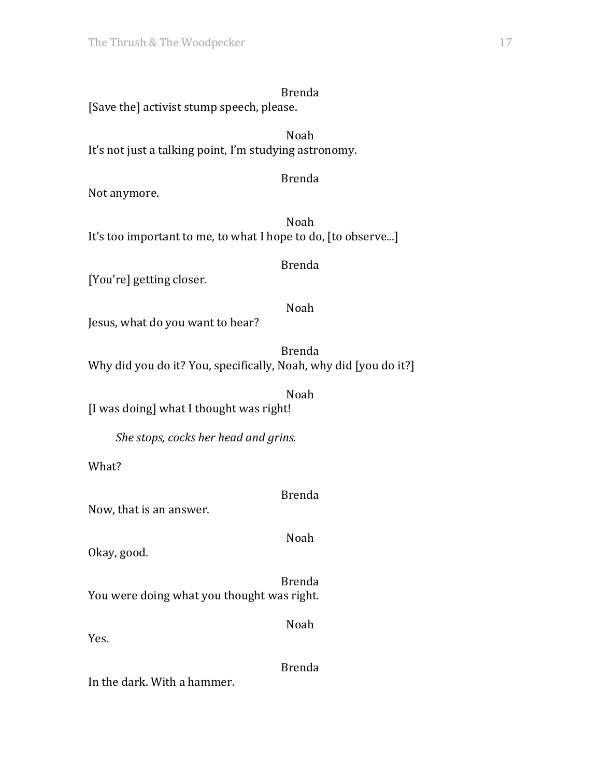[Save the] activist stump speech, please.

Noah It's not just a talking point, I'm studying astronomy.

## Brenda

Not anymore.

Noah It's too important to me, to what I hope to do, [to observe...]

#### Brenda

[You're] getting closer.

### Noah

Jesus, what do you want to hear?

Brenda Why did you do it? You, specifically, Noah, why did [you do it?]

Noah [I was doing] what I thought was right!

*She stops, cocks her head and grins.* 

What?

## Brenda

Now, that is an answer.

## Noah

Okay, good.

Brenda You were doing what you thought was right.

Yes.

Brenda

Noah

In the dark. With a hammer.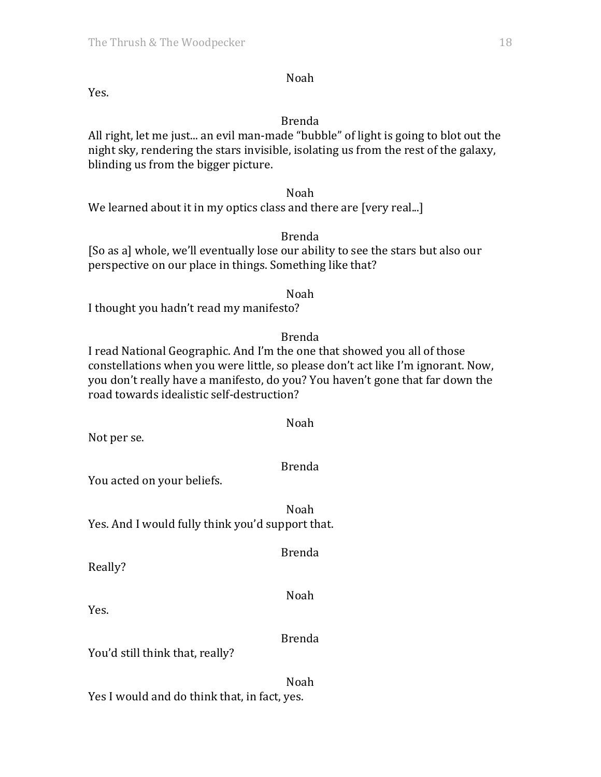Yes.

#### Brenda

Noah

All right, let me just... an evil man-made "bubble" of light is going to blot out the night sky, rendering the stars invisible, isolating us from the rest of the galaxy, blinding us from the bigger picture.

#### Noah

We learned about it in my optics class and there are [very real...]

#### Brenda

[So as a] whole, we'll eventually lose our ability to see the stars but also our perspective on our place in things. Something like that?

#### Noah

I thought you hadn't read my manifesto?

#### Brenda

I read National Geographic. And I'm the one that showed you all of those constellations when you were little, so please don't act like I'm ignorant. Now, you don't really have a manifesto, do you? You haven't gone that far down the road towards idealistic self-destruction?

Not per se.

## Brenda

Noah

You acted on your beliefs.

Noah Yes. And I would fully think you'd support that.

Brenda

Really?

Noah

Yes.

## Brenda

You'd still think that, really?

Noah Yes I would and do think that, in fact, yes.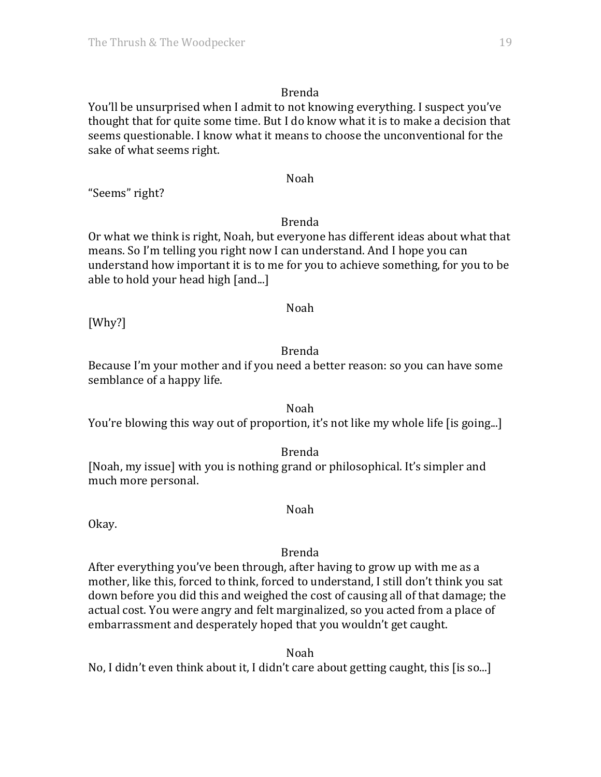You'll be unsurprised when I admit to not knowing everything. I suspect you've thought that for quite some time. But I do know what it is to make a decision that seems questionable. I know what it means to choose the unconventional for the sake of what seems right.

## Noah

"Seems" right?

### Brenda

Or what we think is right, Noah, but everyone has different ideas about what that means. So I'm telling you right now I can understand. And I hope you can understand how important it is to me for you to achieve something, for you to be able to hold your head high [and...]

#### Noah

[Why?]

## Brenda

Because I'm your mother and if you need a better reason: so you can have some semblance of a happy life.

Noah You're blowing this way out of proportion, it's not like my whole life [is going...]

Brenda

[Noah, my issue] with you is nothing grand or philosophical. It's simpler and much more personal.

Noah

Okay.

## Brenda

After everything you've been through, after having to grow up with me as a mother, like this, forced to think, forced to understand, I still don't think you sat down before you did this and weighed the cost of causing all of that damage; the actual cost. You were angry and felt marginalized, so you acted from a place of embarrassment and desperately hoped that you wouldn't get caught.

Noah No, I didn't even think about it, I didn't care about getting caught, this [is so...]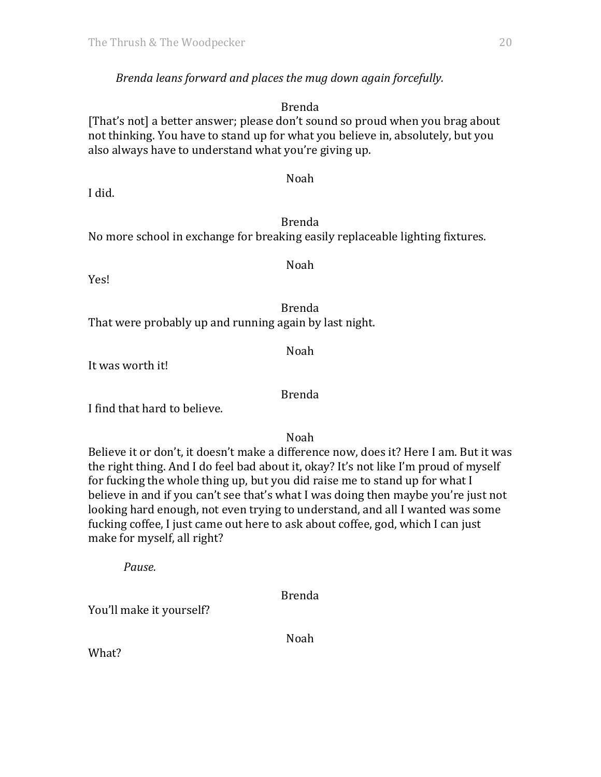## *Brenda leans forward and places the mug down again forcefully.*

#### Brenda

[That's not] a better answer; please don't sound so proud when you brag about not thinking. You have to stand up for what you believe in, absolutely, but you also always have to understand what you're giving up.

I did.

## Brenda

Noah

Noah

No more school in exchange for breaking easily replaceable lighting fixtures.

Yes!

Brenda That were probably up and running again by last night.

Noah

It was worth it!

I find that hard to believe.

Noah

Brenda

Believe it or don't, it doesn't make a difference now, does it? Here I am. But it was the right thing. And I do feel bad about it, okay? It's not like I'm proud of myself for fucking the whole thing up, but you did raise me to stand up for what  $I$ believe in and if you can't see that's what I was doing then maybe you're just not looking hard enough, not even trying to understand, and all I wanted was some fucking coffee, I just came out here to ask about coffee, god, which I can just make for myself, all right?

*Pause.*

Brenda

You'll make it yourself?

Noah

What?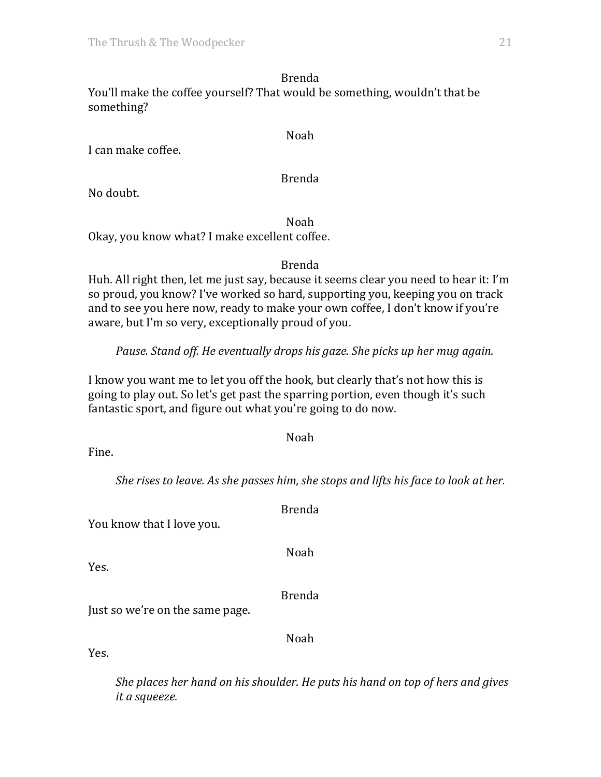Brenda You'll make the coffee yourself? That would be something, wouldn't that be something?

I can make coffee.

Brenda

Noah

No doubt.

Noah

Okay, you know what? I make excellent coffee.

Brenda

Huh. All right then, let me just say, because it seems clear you need to hear it: I'm so proud, you know? I've worked so hard, supporting you, keeping you on track and to see you here now, ready to make your own coffee, I don't know if you're aware, but I'm so very, exceptionally proud of you.

*Pause.* Stand off. He eventually drops his gaze. She picks up her mug again.

I know you want me to let you off the hook, but clearly that's not how this is going to play out. So let's get past the sparring portion, even though it's such fantastic sport, and figure out what you're going to do now.

Noah

Fine.

*She rises to leave. As she passes him, she stops and lifts his face to look at her.* 

Noah Just so we're on the same page. Noah Yes.

> *She places her hand on his shoulder. He puts his hand on top of hers and gives it a squeeze.*

You know that I love you.

Yes.

Brenda

Brenda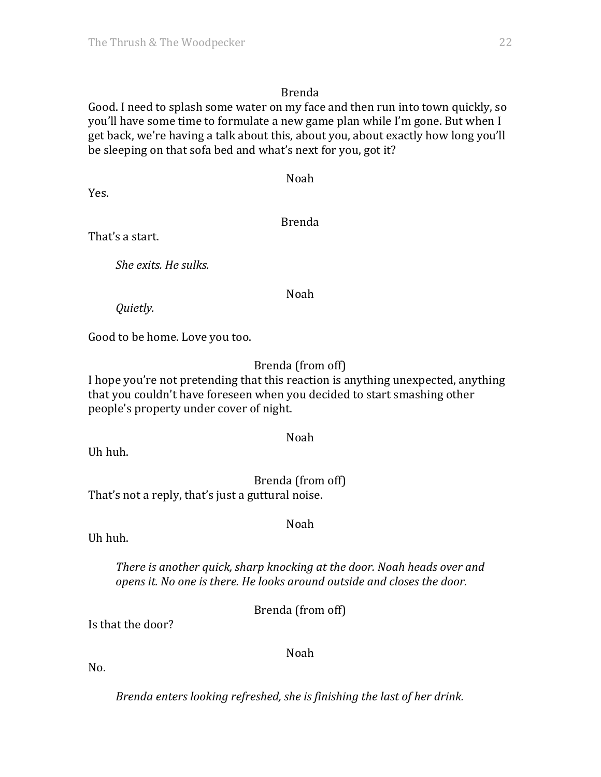Good. I need to splash some water on my face and then run into town quickly, so you'll have some time to formulate a new game plan while I'm gone. But when I get back, we're having a talk about this, about you, about exactly how long you'll be sleeping on that sofa bed and what's next for you, got it?

Yes.

Brenda

Noah

That's a start.

*She exits. He sulks.*

### Noah

*Quietly.*

Good to be home. Love you too.

## Brenda (from off)

I hope you're not pretending that this reaction is anything unexpected, anything that you couldn't have foreseen when you decided to start smashing other people's property under cover of night.

#### Noah

Uh huh.

Brenda (from off) That's not a reply, that's just a guttural noise.

Uh huh.

*There is another quick, sharp knocking at the door. Noah heads over and opens* it. No one is there. He looks around outside and closes the door.

Noah

Brenda (from off)

Is that the door?

Noah

No.

*Brenda enters looking refreshed, she is finishing the last of her drink.*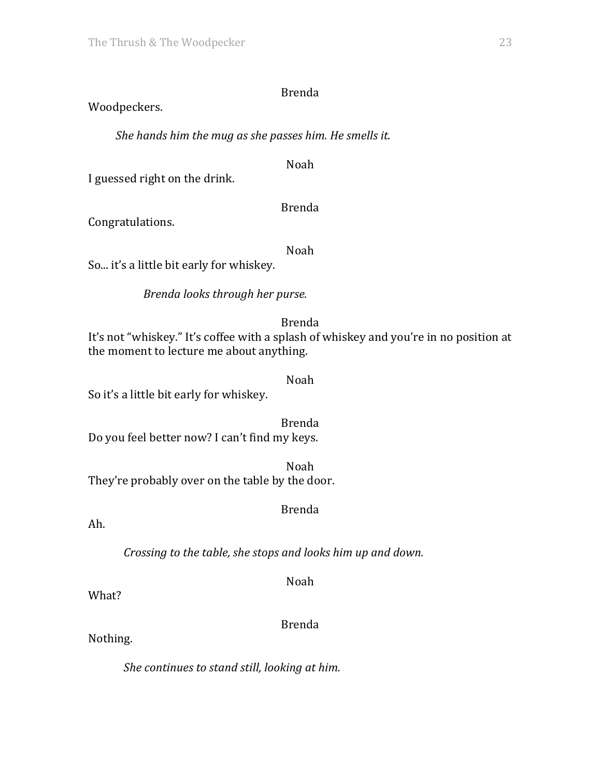## Woodpeckers.

She hands him the mug as she passes him. He smells it.

Noah

I guessed right on the drink.

Brenda

Congratulations.

Noah

So... it's a little bit early for whiskey.

*Brenda looks through her purse.*

Brenda

It's not "whiskey." It's coffee with a splash of whiskey and you're in no position at the moment to lecture me about anything.

### Noah

So it's a little bit early for whiskey.

Brenda Do you feel better now? I can't find my keys.

Noah They're probably over on the table by the door.

## Brenda

Ah.

*Crossing to the table, she stops and looks him up and down.* 

Noah

What?

Brenda

Nothing.

*She continues to stand still, looking at him.*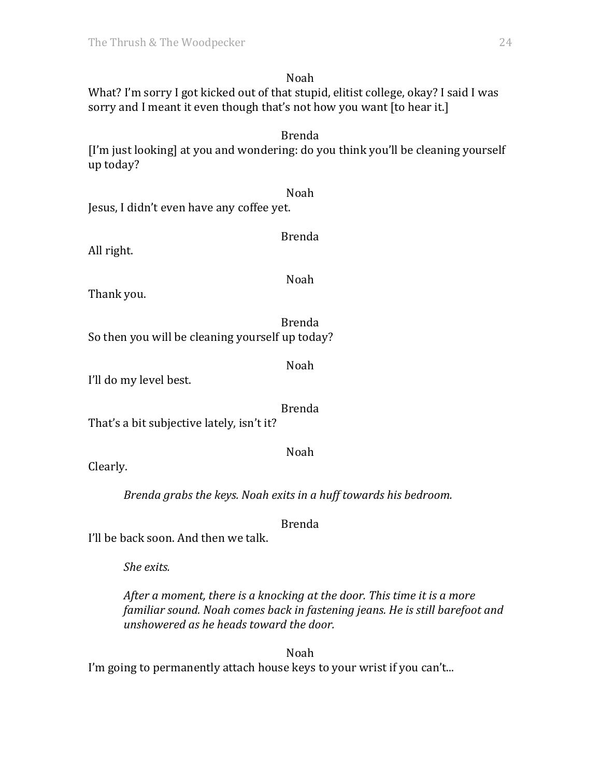Noah What? I'm sorry I got kicked out of that stupid, elitist college, okay? I said I was sorry and I meant it even though that's not how you want [to hear it.]

Brenda

[I'm just looking] at you and wondering: do you think you'll be cleaning yourself up today?

Noah Jesus, I didn't even have any coffee yet.

All right.

Noah

Brenda

Thank you.

Brenda So then you will be cleaning yourself up today?

Noah

I'll do my level best.

Brenda

That's a bit subjective lately, isn't it?

Clearly.

*Brenda grabs the keys. Noah exits in a huff towards his bedroom.* 

Brenda

Noah

I'll be back soon. And then we talk.

*She exits.*

*After a moment, there is a knocking at the door. This time it is a more familiar sound.* Noah *comes back in fastening jeans. He is still barefoot and unshowered as he heads toward the door.*

Noah I'm going to permanently attach house keys to your wrist if you can't...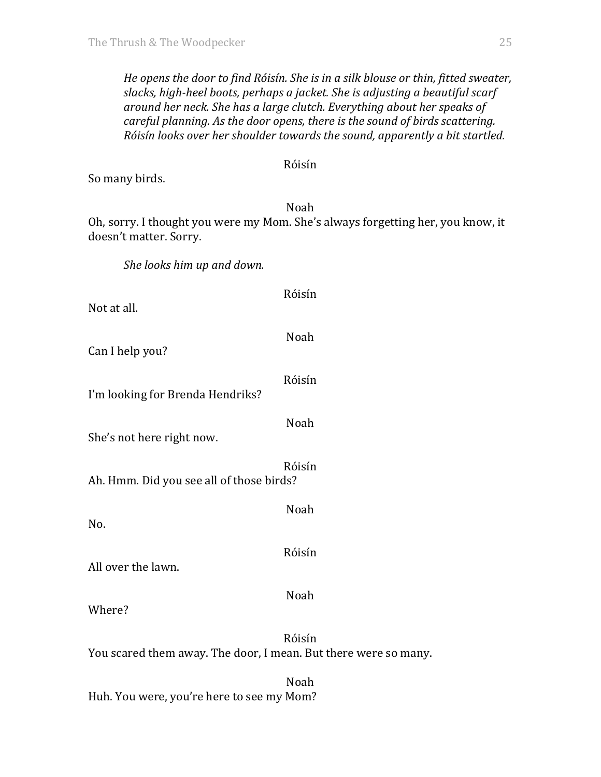*He* opens the door to find Róisín. She is in a silk blouse or thin, fitted sweater, slacks, high-heel boots, perhaps a jacket. She is adjusting a beautiful scarf around her neck. She has a large clutch. Everything about her speaks of *careful planning. As the door opens, there is the sound of birds scattering. Róisín looks over her shoulder towards the sound, apparently a bit startled.* 

#### Róisín

So many birds.

#### Noah

Oh, sorry. I thought you were my Mom. She's always forgetting her, you know, it doesn't matter. Sorry.

She looks him up and down.

| Not at all.                              | Róisín |
|------------------------------------------|--------|
| Can I help you?                          | Noah   |
| I'm looking for Brenda Hendriks?         | Róisín |
| She's not here right now.                | Noah   |
| Ah. Hmm. Did you see all of those birds? | Róisín |
| No.                                      | Noah   |
| All over the lawn.                       | Róisín |
| Where?                                   | Noah   |
|                                          | Róisín |

You scared them away. The door, I mean. But there were so many.

Noah Huh. You were, you're here to see my Mom?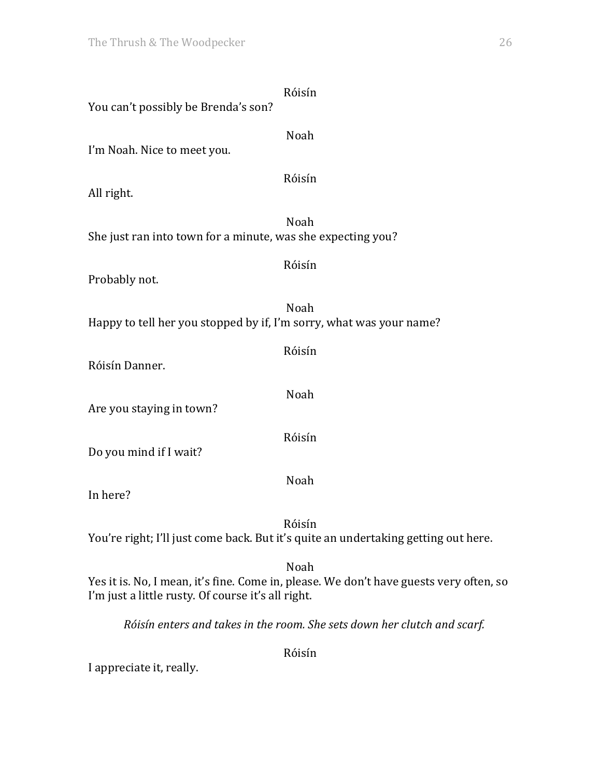| You can't possibly be Brenda's son?                                 | Róisín                                                                                         |
|---------------------------------------------------------------------|------------------------------------------------------------------------------------------------|
| I'm Noah. Nice to meet you.                                         | Noah                                                                                           |
| All right.                                                          | Róisín                                                                                         |
| She just ran into town for a minute, was she expecting you?         | Noah                                                                                           |
| Probably not.                                                       | Róisín                                                                                         |
| Happy to tell her you stopped by if, I'm sorry, what was your name? | Noah                                                                                           |
| Róisín Danner.                                                      | Róisín                                                                                         |
| Are you staying in town?                                            | Noah                                                                                           |
| Do you mind if I wait?                                              | Róisín                                                                                         |
| In here?                                                            | Noah                                                                                           |
|                                                                     | Róisín<br>You're right; I'll just come back. But it's quite an undertaking getting out here.   |
| I'm just a little rusty. Of course it's all right.                  | Noah<br>Yes it is. No, I mean, it's fine. Come in, please. We don't have guests very often, so |

*Róisín enters and takes in the room. She sets down her clutch and scarf.*

Róisín

I appreciate it, really.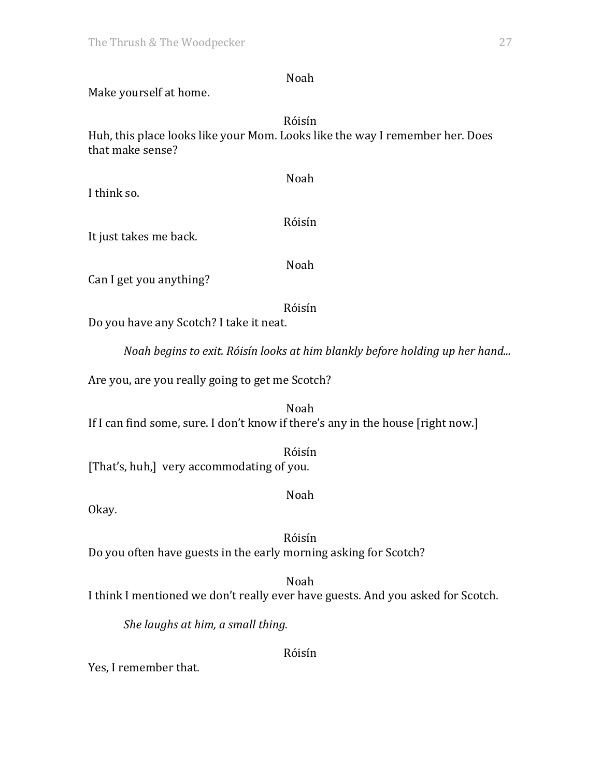Make yourself at home. Róisín Huh, this place looks like your Mom. Looks like the way I remember her. Does that make sense? Noah I think so. Róisín It just takes me back. Noah

Can I get you anything?

Do you have any Scotch? I take it neat.

*Noah begins to exit. Róisín looks at him blankly before holding up her hand...* 

Róisín

Are you, are you really going to get me Scotch?

Noah If I can find some, sure. I don't know if there's any in the house [right now.]

Róisín [That's, huh,] very accommodating of you.

Noah

Okay.

Róisín Do you often have guests in the early morning asking for Scotch?

Noah I think I mentioned we don't really ever have guests. And you asked for Scotch.

Róisín

*She laughs at him, a small thing.* 

Yes, I remember that.

Noah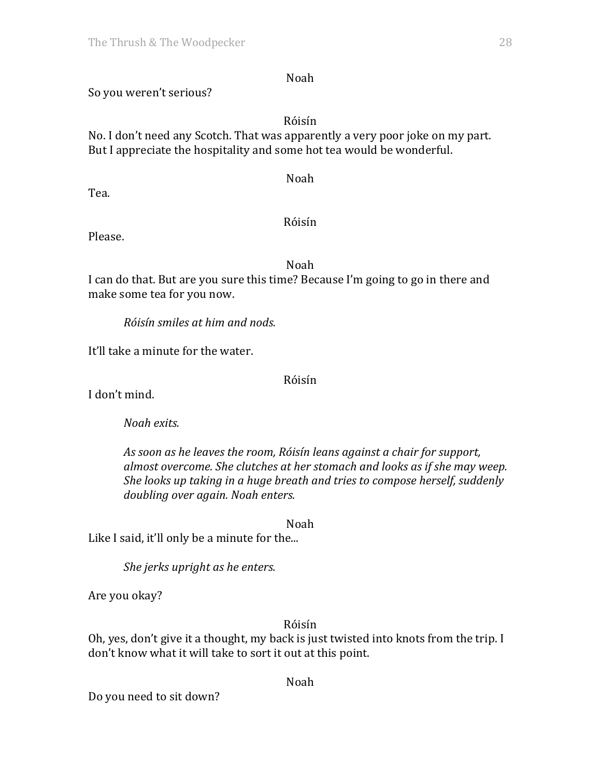## Noah

## So you weren't serious?

#### Róisín

No. I don't need any Scotch. That was apparently a very poor joke on my part. But I appreciate the hospitality and some hot tea would be wonderful.

Noah

Tea.

### Róisín

Please.

Noah

I can do that. But are you sure this time? Because I'm going to go in there and make some tea for you now.

*Róisín smiles at him and nods.*

It'll take a minute for the water.

Róisín

I don't mind.

*Noah exits.* 

As soon as he leaves the room, Róisín leans against a chair for support, almost overcome. She clutches at her stomach and looks as if she may weep. *She looks up taking in a huge breath and tries to compose herself, suddenly doubling over again. Noah enters.*

Noah

Like I said, it'll only be a minute for the...

She jerks upright as he enters.

Are you okay?

Róisín

Oh, yes, don't give it a thought, my back is just twisted into knots from the trip. I don't know what it will take to sort it out at this point.

Noah

Do you need to sit down?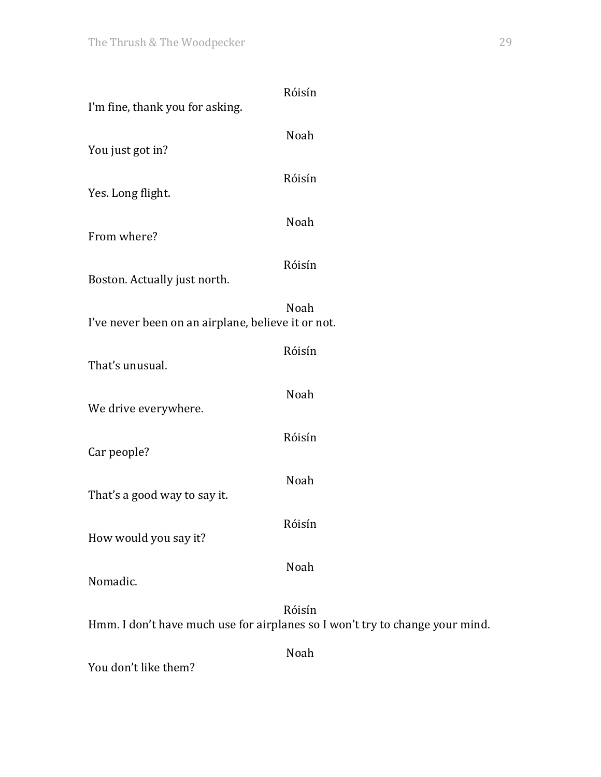| I'm fine, thank you for asking.                    | Róisín                                                                                 |
|----------------------------------------------------|----------------------------------------------------------------------------------------|
| You just got in?                                   | Noah                                                                                   |
| Yes. Long flight.                                  | Róisín                                                                                 |
| From where?                                        | Noah                                                                                   |
| Boston. Actually just north.                       | Róisín                                                                                 |
|                                                    | Noah                                                                                   |
| I've never been on an airplane, believe it or not. |                                                                                        |
| That's unusual.                                    | Róisín                                                                                 |
| We drive everywhere.                               | Noah                                                                                   |
| Car people?                                        | Róisín                                                                                 |
| That's a good way to say it.                       | Noah                                                                                   |
|                                                    |                                                                                        |
| How would you say it?                              | Róisín                                                                                 |
| Nomadic.                                           | Noah                                                                                   |
|                                                    | Róisín<br>Hmm. I don't have much use for airplanes so I won't try to change your mind. |
| You don't like them?                               | Noah                                                                                   |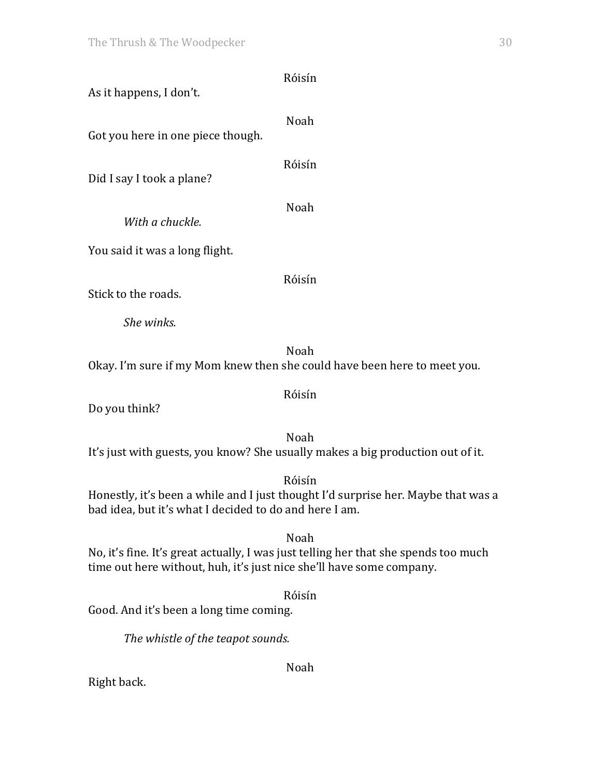| As it happens, I don't.           | Róisín                                                                                    |
|-----------------------------------|-------------------------------------------------------------------------------------------|
| Got you here in one piece though. | Noah                                                                                      |
| Did I say I took a plane?         | Róisín                                                                                    |
| With a chuckle.                   | Noah                                                                                      |
| You said it was a long flight.    |                                                                                           |
| Stick to the roads.               | Róisín                                                                                    |
| She winks.                        |                                                                                           |
|                                   | Noah<br>Okay. I'm sure if my Mom knew then she could have been here to meet you.          |
| Do you think?                     | Róisín                                                                                    |
|                                   | Noah<br>It's just with guests, you know? She usually makes a big production out of it.    |
|                                   | Róisín<br>Honestly, it's been a while and I just thought I'd surprise her. Maybe that was |

Honestly, it's been a while and I just thought I'd surprise her. Maybe that was a bad idea, but it's what I decided to do and here I am.

Noah No, it's fine. It's great actually, I was just telling her that she spends too much time out here without, huh, it's just nice she'll have some company.

Róisín Good. And it's been a long time coming.

The whistle of the teapot sounds.

Noah

Right back.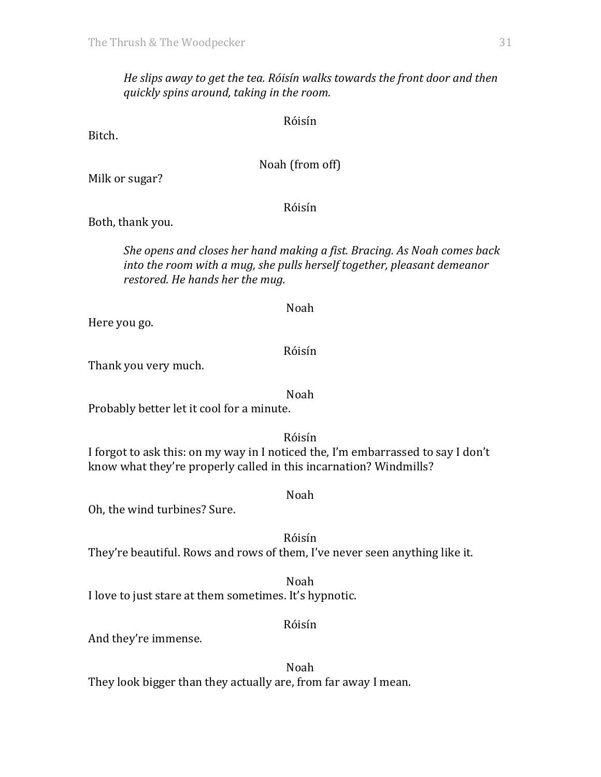He slips away to get the tea. Róisín walks towards the front door and then *quickly spins around, taking in the room.*

Róisín

Bitch.

Noah (from off)

Milk or sugar?

Róisín

Both, thank you.

*She opens and closes her hand making a fist. Bracing. As Noah comes back into the room with a mug, she pulls herself together, pleasant demeanor restored.* He hands her the mug.

Here you go.

Róisín

Noah

Thank you very much.

Noah

Probably better let it cool for a minute.

Róisín I forgot to ask this: on my way in I noticed the, I'm embarrassed to say I don't know what they're properly called in this incarnation? Windmills?

Noah

Oh, the wind turbines? Sure.

Róisín They're beautiful. Rows and rows of them, I've never seen anything like it.

Noah I love to just stare at them sometimes. It's hypnotic.

Róisín

And they're immense.

Noah They look bigger than they actually are, from far away I mean.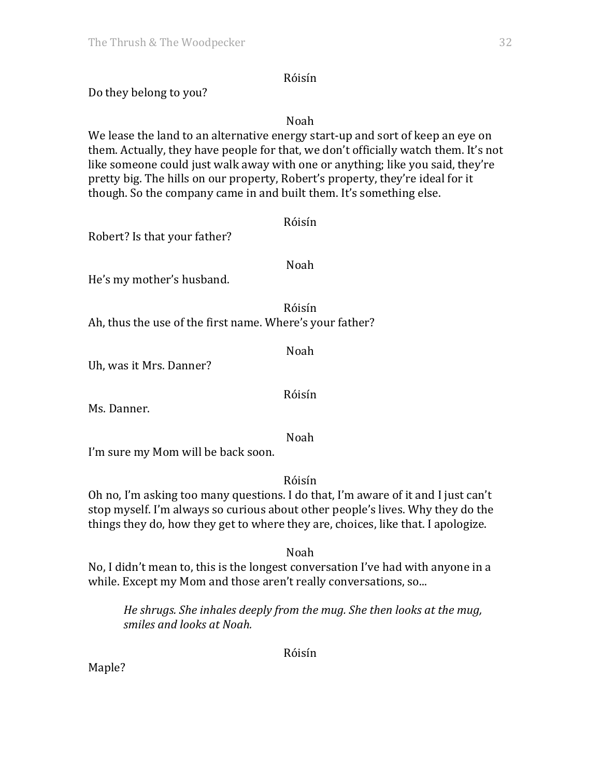### Róisín

Do they belong to you?

Noah

We lease the land to an alternative energy start-up and sort of keep an eye on them. Actually, they have people for that, we don't officially watch them. It's not like someone could just walk away with one or anything; like you said, they're pretty big. The hills on our property, Robert's property, they're ideal for it though. So the company came in and built them. It's something else.

| Robert? Is that your father?                             | Róisín |
|----------------------------------------------------------|--------|
| He's my mother's husband.                                | Noah   |
| Ah, thus the use of the first name. Where's your father? | Róisín |
| Uh, was it Mrs. Danner?                                  | Noah   |
|                                                          | Róisín |

Ms. Danner.

Noah

I'm sure my Mom will be back soon.

Róisín

Oh no, I'm asking too many questions. I do that, I'm aware of it and I just can't stop myself. I'm always so curious about other people's lives. Why they do the things they do, how they get to where they are, choices, like that. I apologize.

Noah

No, I didn't mean to, this is the longest conversation I've had with anyone in a while. Except my Mom and those aren't really conversations, so...

*He shrugs.* She inhales deeply from the mug. She then looks at the mug, *smiles and looks at Noah.*

Róisín

Maple?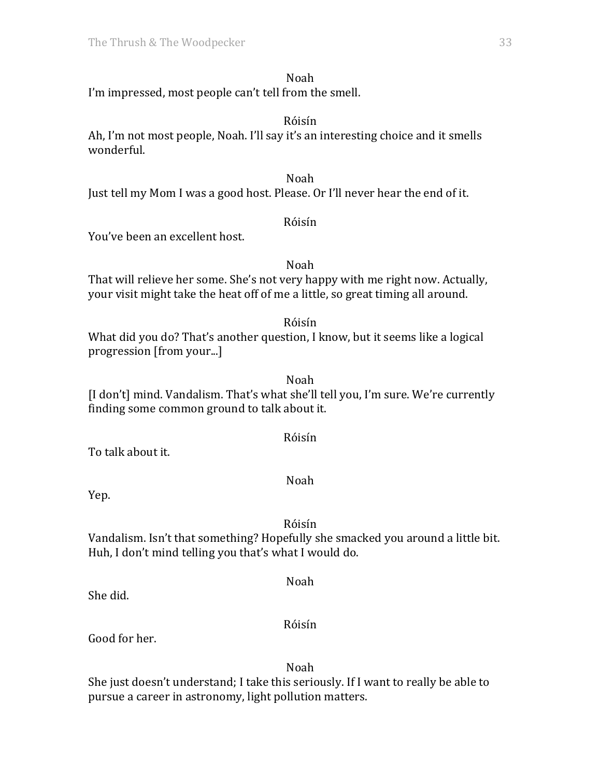#### Noah

I'm impressed, most people can't tell from the smell.

#### Róisín

Ah, I'm not most people, Noah. I'll say it's an interesting choice and it smells wonderful. 

### Noah

Just tell my Mom I was a good host. Please. Or I'll never hear the end of it.

#### Róisín

You've been an excellent host.

#### Noah That will relieve her some. She's not very happy with me right now. Actually, your visit might take the heat off of me a little, so great timing all around.

Róisín

What did you do? That's another question, I know, but it seems like a logical progression [from your...]

Noah [I don't] mind. Vandalism. That's what she'll tell you, I'm sure. We're currently finding some common ground to talk about it.

#### Róisín

To talk about it.

Noah

Yep.

## Róisín

Vandalism. Isn't that something? Hopefully she smacked you around a little bit. Huh, I don't mind telling you that's what I would do.

She did.

## Róisín

Noah

Good for her.

Noah She just doesn't understand; I take this seriously. If I want to really be able to pursue a career in astronomy, light pollution matters.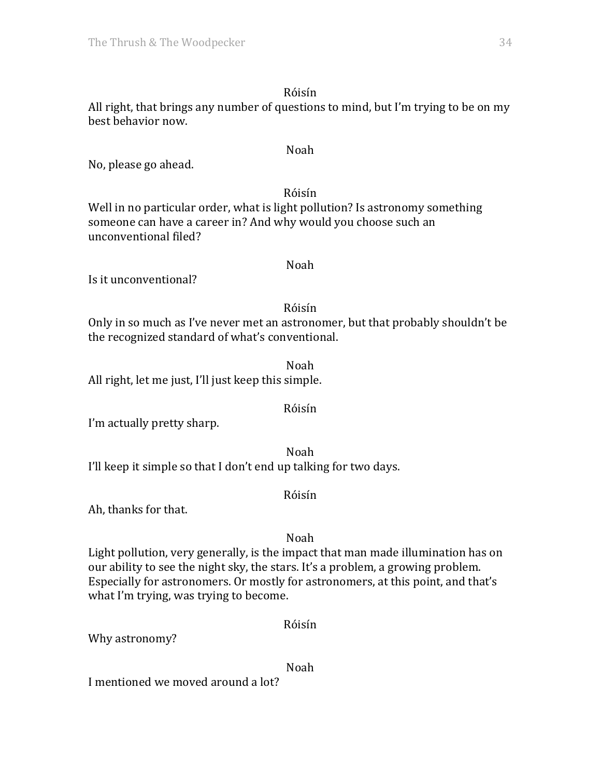## Róisín

All right, that brings any number of questions to mind, but I'm trying to be on my best behavior now.

Noah

No, please go ahead.

## Róisín

Well in no particular order, what is light pollution? Is astronomy something someone can have a career in? And why would you choose such an unconventional filed?

### Noah

Is it unconventional?

## Róisín

Only in so much as I've never met an astronomer, but that probably shouldn't be the recognized standard of what's conventional.

Noah All right, let me just, I'll just keep this simple.

## Róisín

I'm actually pretty sharp.

Noah I'll keep it simple so that I don't end up talking for two days.

#### Róisín

Ah, thanks for that.

## Noah

Light pollution, very generally, is the impact that man made illumination has on our ability to see the night sky, the stars. It's a problem, a growing problem. Especially for astronomers. Or mostly for astronomers, at this point, and that's what I'm trying, was trying to become.

## Róisín

Why astronomy?

#### Noah

I mentioned we moved around a lot?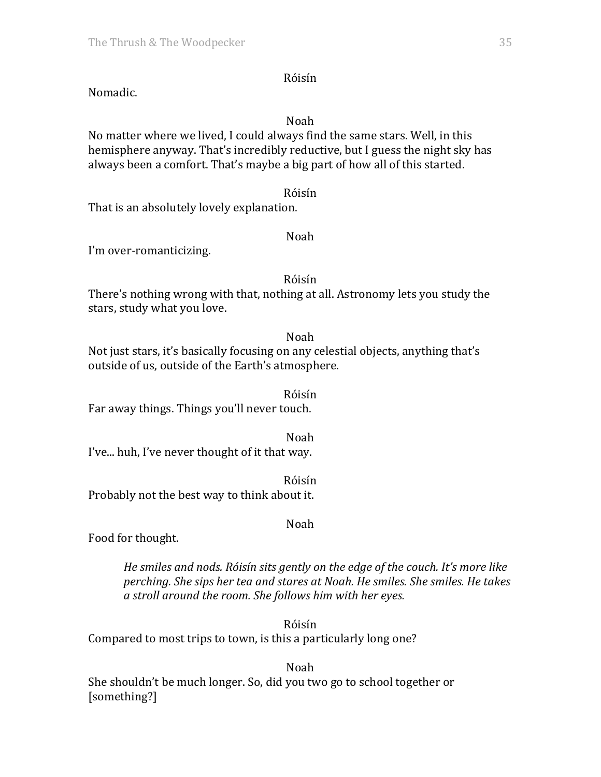#### Róisín

Nomadic.

#### Noah

No matter where we lived. I could always find the same stars. Well, in this hemisphere anyway. That's incredibly reductive, but I guess the night sky has always been a comfort. That's maybe a big part of how all of this started.

#### Róisín

That is an absolutely lovely explanation.

### Noah

I'm over-romanticizing.

### Róisín

There's nothing wrong with that, nothing at all. Astronomy lets you study the stars, study what you love.

Noah

Not just stars, it's basically focusing on any celestial objects, anything that's outside of us, outside of the Earth's atmosphere.

Róisín Far away things. Things you'll never touch.

Noah I've... huh, I've never thought of it that way.

Róisín Probably not the best way to think about it.

## Noah

Food for thought.

*He smiles and nods. Róisín sits gently on the edge of the couch. It's more like perching.* She sips her tea and stares at Noah. He smiles. She smiles. He takes *a stroll around the room. She follows him with her eyes.*

Róisín Compared to most trips to town, is this a particularly long one?

Noah She shouldn't be much longer. So, did you two go to school together or [something?]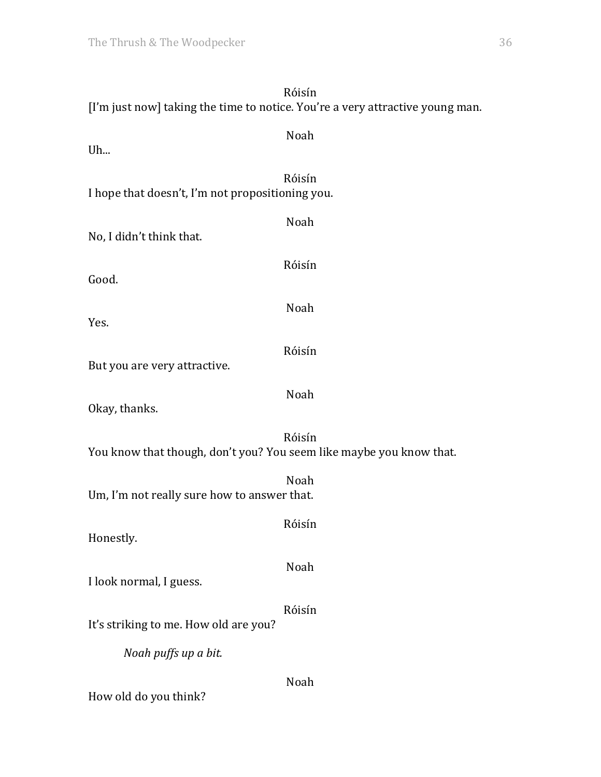# Róisín [I'm just now] taking the time to notice. You're a very attractive young man. Noah  $U<sub>h...</sub>$ Róisín I hope that doesn't, I'm not propositioning you. Noah No, I didn't think that. Róisín Good. Noah Yes. Róisín But you are very attractive. Noah Okay, thanks. Róisín You know that though, don't you? You seem like maybe you know that. Noah Um, I'm not really sure how to answer that. Róisín Honestly. Noah I look normal, I guess. Róisín It's striking to me. How old are you? *Noah puffs up a bit.* Noah How old do you think?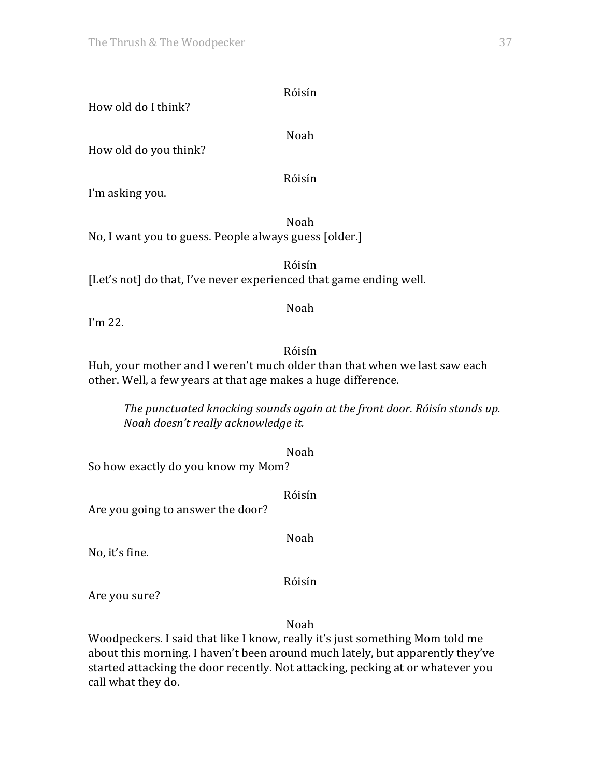How old do I think?

Noah

Róisín

How old do you think?

Róisín

I'm asking you.

Noah No, I want you to guess. People always guess [older.]

Róisín [Let's not] do that, I've never experienced that game ending well.

## Noah

I'm  $22$ .

# Róisín

Huh, your mother and I weren't much older than that when we last saw each other. Well, a few years at that age makes a huge difference.

*The punctuated knocking sounds again at the front door. Róisín stands up. Noah doesn't really acknowledge it.*

Noah So how exactly do you know my Mom?

Róisín

Are you going to answer the door?

Noah

No, it's fine.

Róisín

Are you sure?

Noah

Woodpeckers. I said that like I know, really it's just something Mom told me about this morning. I haven't been around much lately, but apparently they've started attacking the door recently. Not attacking, pecking at or whatever you call what they do.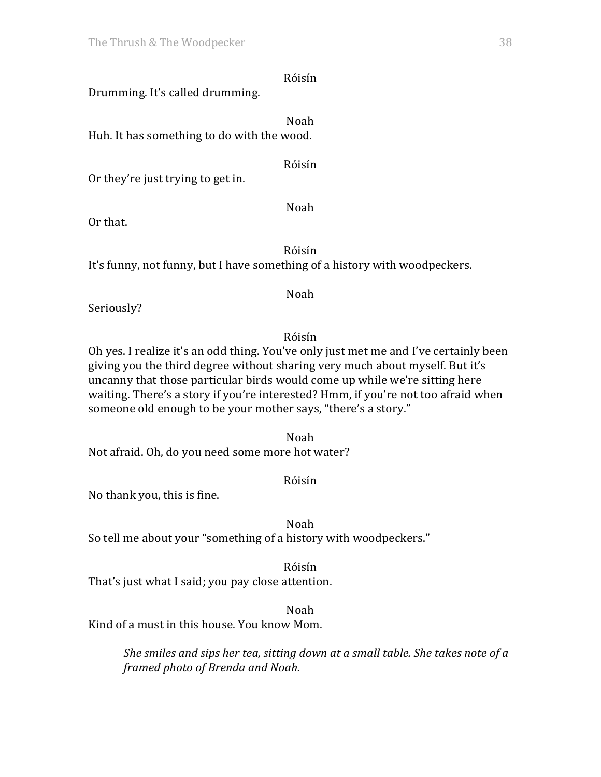Drumming. It's called drumming.

Noah Huh. It has something to do with the wood.

Róisín

Or they're just trying to get in.

Or that.

Róisín

Noah

It's funny, not funny, but I have something of a history with woodpeckers.

Seriously?

Noah

Róisín Oh ves. I realize it's an odd thing. You've only just met me and I've certainly been giving you the third degree without sharing very much about myself. But it's uncanny that those particular birds would come up while we're sitting here waiting. There's a story if you're interested? Hmm, if you're not too afraid when someone old enough to be your mother says, "there's a story."

Noah Not afraid. Oh, do you need some more hot water?

No thank you, this is fine.

Noah

Róisín

So tell me about your "something of a history with woodpeckers."

Róisín

That's just what I said; you pay close attention.

Noah

Kind of a must in this house. You know Mom.

*She smiles and sips her tea, sitting down at a small table. She takes note of a framed photo of Brenda and Noah.*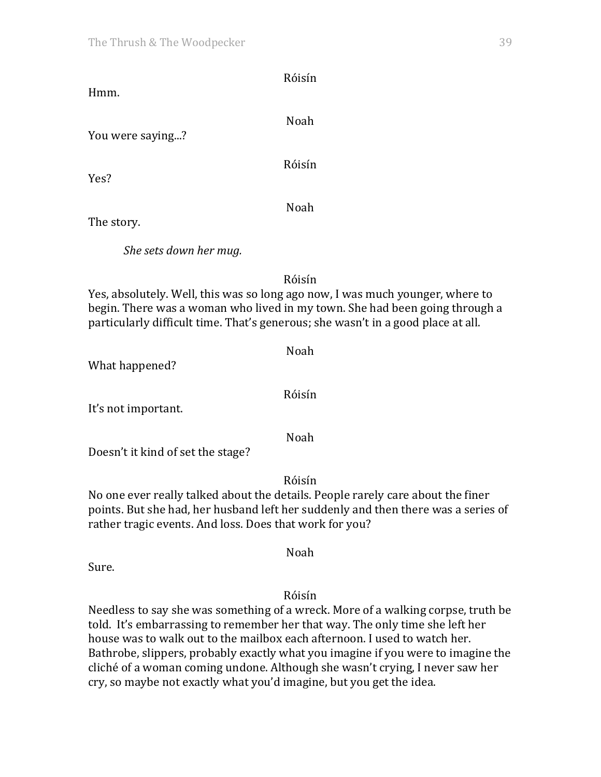|                                                                                  | Róisín                                                                                                                                                       |
|----------------------------------------------------------------------------------|--------------------------------------------------------------------------------------------------------------------------------------------------------------|
| Hmm.                                                                             |                                                                                                                                                              |
|                                                                                  | Noah                                                                                                                                                         |
| You were saying?                                                                 |                                                                                                                                                              |
|                                                                                  | Róisín                                                                                                                                                       |
| Yes?                                                                             |                                                                                                                                                              |
|                                                                                  | Noah                                                                                                                                                         |
| The story.                                                                       |                                                                                                                                                              |
|                                                                                  |                                                                                                                                                              |
| She sets down her mug.                                                           |                                                                                                                                                              |
|                                                                                  | Róisín                                                                                                                                                       |
| particularly difficult time. That's generous; she wasn't in a good place at all. | Yes, absolutely. Well, this was so long ago now, I was much younger, where to<br>begin. There was a woman who lived in my town. She had been going through a |

What happened?

It's not important.

Doesn't it kind of set the stage?

Róisín No one ever really talked about the details. People rarely care about the finer points. But she had, her husband left her suddenly and then there was a series of rather tragic events. And loss. Does that work for you?

Sure.

Róisín

Noah

Needless to say she was something of a wreck. More of a walking corpse, truth be told. It's embarrassing to remember her that way. The only time she left her house was to walk out to the mailbox each afternoon. I used to watch her. Bathrobe, slippers, probably exactly what you imagine if you were to imagine the cliché of a woman coming undone. Although she wasn't crying, I never saw her cry, so maybe not exactly what you'd imagine, but you get the idea.

Róisín

Noah

Noah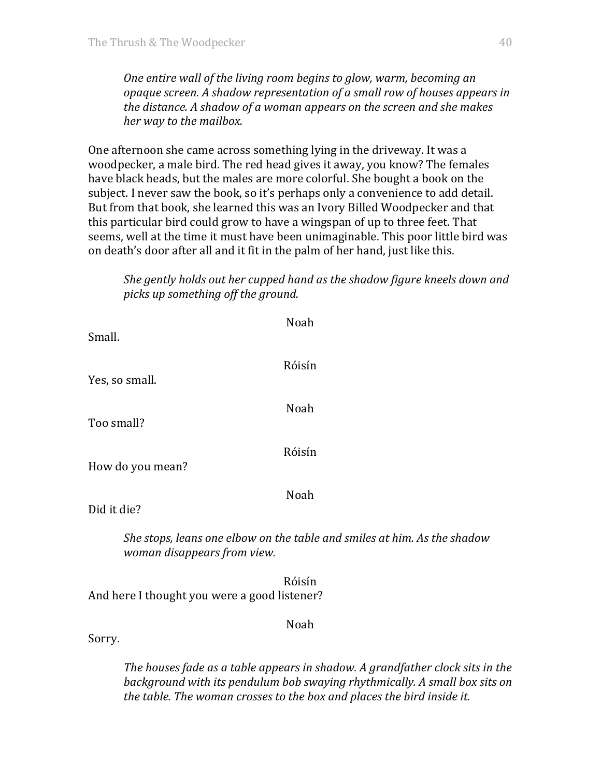*One entire wall of the living room begins to glow, warm, becoming an opaque screen.* A shadow representation of a small row of houses appears in *the distance.* A shadow of a woman appears on the screen and she makes her way to the mailbox.

One afternoon she came across something lying in the driveway. It was a woodpecker, a male bird. The red head gives it away, you know? The females have black heads, but the males are more colorful. She bought a book on the subject. I never saw the book, so it's perhaps only a convenience to add detail. But from that book, she learned this was an Ivory Billed Woodpecker and that this particular bird could grow to have a wingspan of up to three feet. That seems, well at the time it must have been unimaginable. This poor little bird was on death's door after all and it fit in the palm of her hand, just like this.

*She gently holds out her cupped hand as the shadow figure kneels down and picks up something off the ground.*

| Small.                                       | Noah                                                                     |
|----------------------------------------------|--------------------------------------------------------------------------|
| Yes, so small.                               | Róisín                                                                   |
|                                              | Noah                                                                     |
| Too small?                                   | Róisín                                                                   |
| How do you mean?                             |                                                                          |
| Did it die?                                  | Noah                                                                     |
| woman disappears from view.                  | She stops, leans one elbow on the table and smiles at him. As the shadow |
| And here I thought you were a good listener? | Róisín                                                                   |

Noah

Sorry. 

The houses fade as a table appears in shadow. A grandfather clock sits in the *background* with its pendulum bob swaying rhythmically. A small box sits on the table. The woman crosses to the box and places the bird inside it.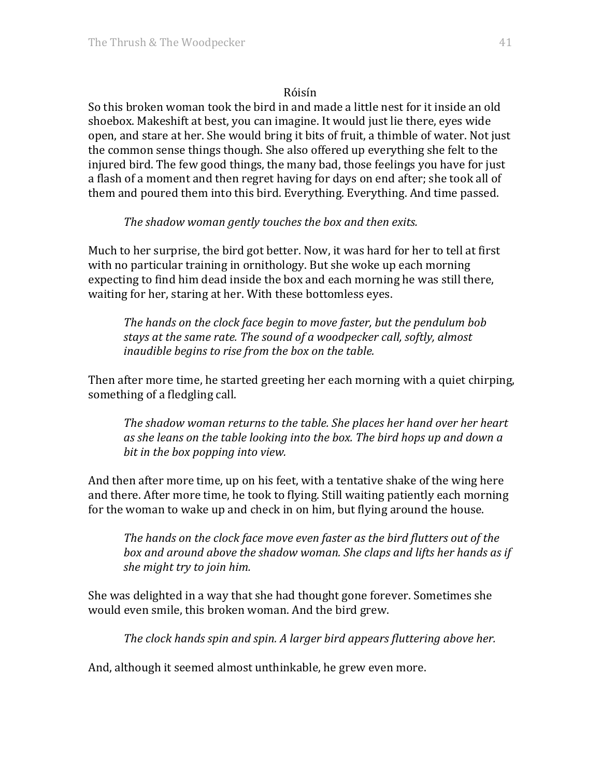So this broken woman took the bird in and made a little nest for it inside an old shoebox. Makeshift at best, you can imagine. It would just lie there, eyes wide open, and stare at her. She would bring it bits of fruit, a thimble of water. Not just the common sense things though. She also offered up everything she felt to the injured bird. The few good things, the many bad, those feelings you have for just a flash of a moment and then regret having for days on end after; she took all of them and poured them into this bird. Everything. Everything. And time passed.

## The shadow woman gently touches the box and then exits.

Much to her surprise, the bird got better. Now, it was hard for her to tell at first with no particular training in ornithology. But she woke up each morning expecting to find him dead inside the box and each morning he was still there, waiting for her, staring at her. With these bottomless eyes.

The hands on the clock face begin to move faster, but the pendulum bob stays at the same rate. The sound of a woodpecker call, softly, almost *inaudible begins to rise from the box on the table.* 

Then after more time, he started greeting her each morning with a quiet chirping, something of a fledgling call.

The shadow woman returns to the table. She places her hand over her heart *as she leans on the table looking into the box. The bird hops up and down a bit in the box popping into view.* 

And then after more time, up on his feet, with a tentative shake of the wing here and there. After more time, he took to flying. Still waiting patiently each morning for the woman to wake up and check in on him, but flying around the house.

The hands on the clock face move even faster as the bird flutters out of the box and around above the shadow woman. She claps and lifts her hands as if *she might try to join him.* 

She was delighted in a way that she had thought gone forever. Sometimes she would even smile, this broken woman. And the bird grew.

*The clock hands spin and spin. A larger bird appears fluttering above her.* 

And, although it seemed almost unthinkable, he grew even more.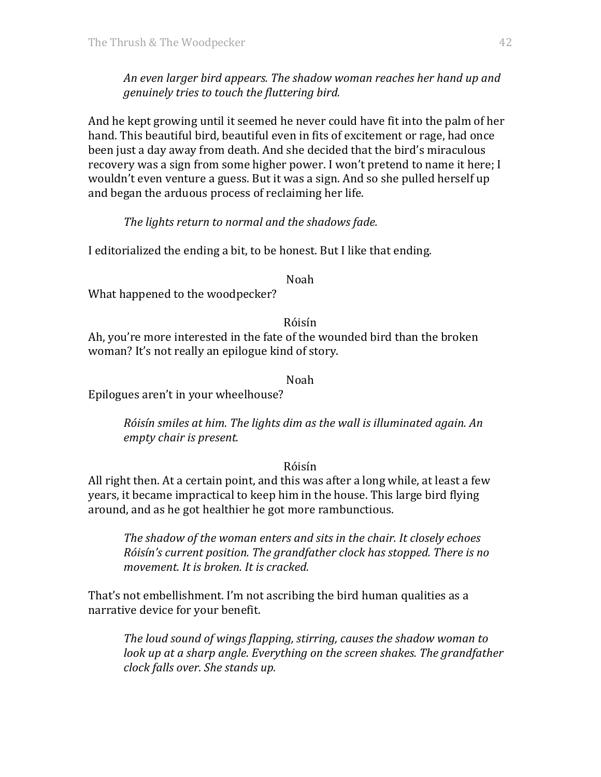An even larger bird appears. The shadow woman reaches her hand up and *genuinely tries to touch the fluttering bird.* 

And he kept growing until it seemed he never could have fit into the palm of her hand. This beautiful bird, beautiful even in fits of excitement or rage, had once been just a day away from death. And she decided that the bird's miraculous recovery was a sign from some higher power. I won't pretend to name it here; I wouldn't even venture a guess. But it was a sign. And so she pulled herself up and began the arduous process of reclaiming her life.

## The lights return to normal and the shadows fade.

I editorialized the ending a bit, to be honest. But I like that ending.

#### Noah

What happened to the woodpecker?

Róisín

Ah, you're more interested in the fate of the wounded bird than the broken woman? It's not really an epilogue kind of story.

Noah

Epilogues aren't in your wheelhouse?

*Róisín smiles at him. The lights dim as the wall is illuminated again. An empty chair is present.*

#### Róisín

All right then. At a certain point, and this was after a long while, at least a few years, it became impractical to keep him in the house. This large bird flying around, and as he got healthier he got more rambunctious.

*The shadow of the woman enters and sits in the chair. It closely echoes Róisín's current position. The grandfather clock has stopped. There is no movement. It is broken. It is cracked.* 

That's not embellishment. I'm not ascribing the bird human qualities as a narrative device for your benefit.

*The loud sound of wings flapping, stirring, causes the shadow woman to look* up at a sharp angle. Everything on the screen shakes. The grandfather *clock falls over. She stands up.*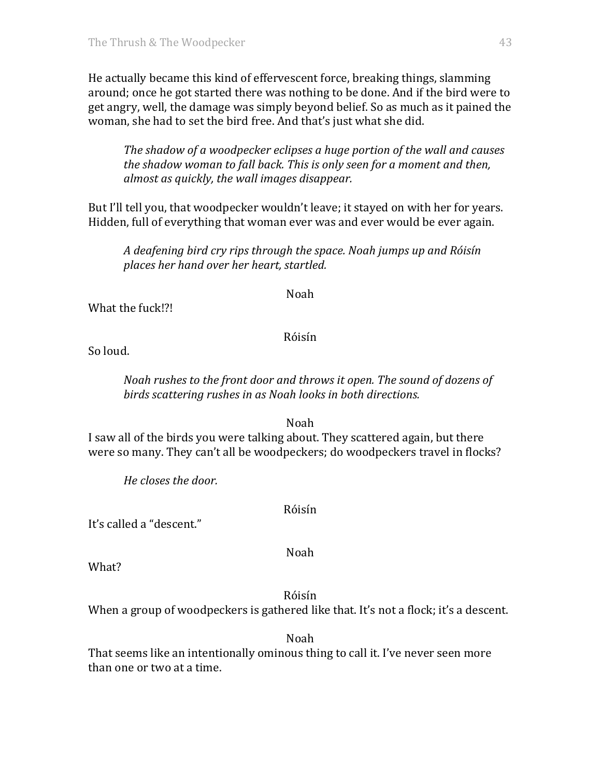He actually became this kind of effervescent force, breaking things, slamming around; once he got started there was nothing to be done. And if the bird were to get angry, well, the damage was simply beyond belief. So as much as it pained the woman, she had to set the bird free. And that's just what she did.

*The shadow of a woodpecker eclipses a huge portion of the wall and causes the shadow woman to fall back. This is only seen for a moment and then, almost as quickly, the wall images disappear.*

But I'll tell you, that woodpecker wouldn't leave; it stayed on with her for years. Hidden, full of everything that woman ever was and ever would be ever again.

*A deafening bird cry rips through the space. Noah jumps up and Róisín places her hand over her heart, startled.*

Noah

What the fuck!?!

## Róisín

So loud.

*Noah rushes to the front door and throws it open. The sound of dozens of* birds scattering rushes in as Noah looks in both directions.

Noah

I saw all of the birds you were talking about. They scattered again, but there were so many. They can't all be woodpeckers; do woodpeckers travel in flocks?

*He closes the door.*

Róisín

It's called a "descent."

Noah

What?

Róisín

When a group of woodpeckers is gathered like that. It's not a flock; it's a descent.

Noah

That seems like an intentionally ominous thing to call it. I've never seen more than one or two at a time.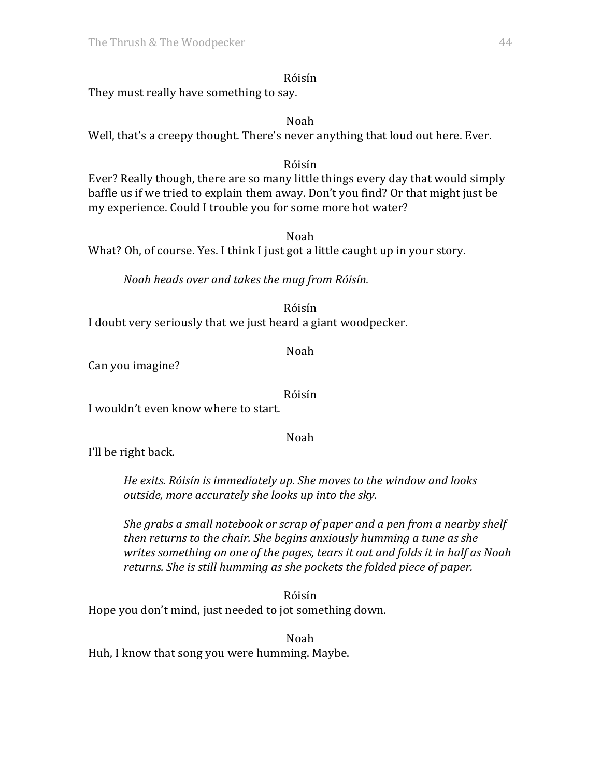They must really have something to say.

Noah Well, that's a creepy thought. There's never anything that loud out here. Ever.

#### Róisín

Ever? Really though, there are so many little things every day that would simply baffle us if we tried to explain them away. Don't you find? Or that might just be my experience. Could I trouble you for some more hot water?

Noah

What? Oh, of course. Yes. I think I just got a little caught up in your story.

*Noah heads over and takes the mug from Róisín.*

Róisín

I doubt very seriously that we just heard a giant woodpecker.

Noah

Can you imagine?

Róisín

I wouldn't even know where to start.

Noah

I'll be right back.

He exits. Róisín is immediately up. She moves to the window and looks *outside, more accurately she looks up into the sky.* 

*She grabs a small notebook or scrap of paper and a pen from a nearby shelf then returns to the chair. She begins anxiously humming a tune as she writes something on one of the pages, tears it out and folds it in half as Noah returns.* She is still humming as she pockets the folded piece of paper.

Róisín Hope you don't mind, just needed to jot something down.

Noah Huh, I know that song you were humming. Maybe.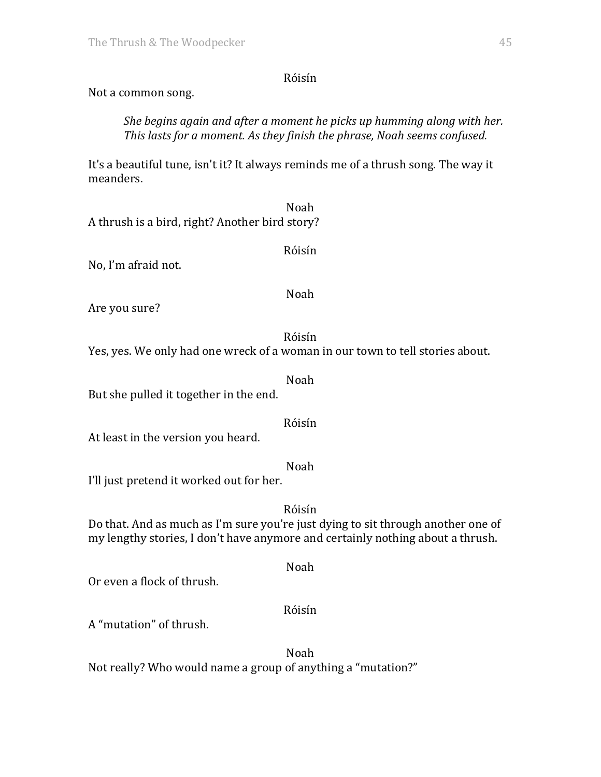Not a common song.

*She begins again and after a moment he picks up humming along with her. This lasts for a moment. As they finish the phrase, Noah seems confused.* 

It's a beautiful tune, isn't it? It always reminds me of a thrush song. The way it meanders.

Noah A thrush is a bird, right? Another bird story?

No, I'm afraid not.

Noah

Noah

Róisín

Noah

Róisín

Are you sure?

Róisín Yes, yes. We only had one wreck of a woman in our town to tell stories about.

But she pulled it together in the end.

At least in the version you heard.

I'll just pretend it worked out for her.

Róisín Do that. And as much as I'm sure you're just dying to sit through another one of my lengthy stories, I don't have anymore and certainly nothing about a thrush.

Or even a flock of thrush.

Róisín

Noah

A "mutation" of thrush. 

Noah Not really? Who would name a group of anything a "mutation?"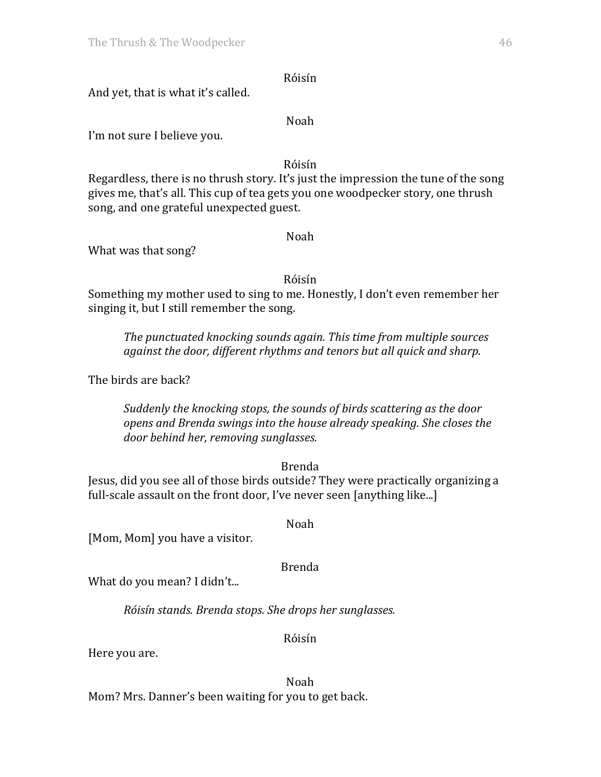And yet, that is what it's called.

#### Noah

I'm not sure I believe you.

#### Róisín

Regardless, there is no thrush story. It's just the impression the tune of the song gives me, that's all. This cup of tea gets you one woodpecker story, one thrush song, and one grateful unexpected guest.

#### Noah

What was that song?

#### Róisín

Something my mother used to sing to me. Honestly, I don't even remember her singing it, but I still remember the song.

*The punctuated knocking sounds again. This time from multiple sources against the door, different rhythms and tenors but all quick and sharp.* 

The birds are back?

*Suddenly the knocking stops, the sounds of birds scattering as the door opens and Brenda swings into the house already speaking. She closes the door behind her, removing sunglasses.*

Brenda

Jesus, did you see all of those birds outside? They were practically organizing a full-scale assault on the front door, I've never seen [anything like...]

Noah

[Mom, Mom] you have a visitor.

Brenda

What do you mean? I didn't...

*Róisín stands. Brenda stops. She drops her sunglasses.*

Róisín

Here you are.

Noah Mom? Mrs. Danner's been waiting for you to get back.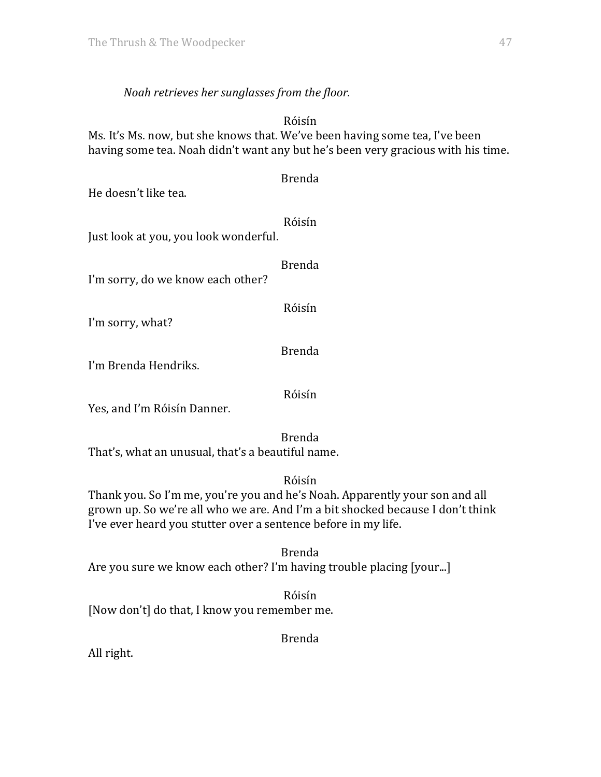## *Noah retrieves her sunglasses from the floor.*

Róisín Ms. It's Ms. now, but she knows that. We've been having some tea, I've been having some tea. Noah didn't want any but he's been very gracious with his time.

Brenda

Róisín

Just look at you, you look wonderful.

Brenda

I'm sorry, do we know each other?

Róisín

I'm sorry, what?

Brenda

I'm Brenda Hendriks.

Róisín

Yes, and I'm Róisín Danner.

Brenda That's, what an unusual, that's a beautiful name.

Róisín

Thank you. So I'm me, you're you and he's Noah. Apparently your son and all grown up. So we're all who we are. And I'm a bit shocked because I don't think I've ever heard you stutter over a sentence before in my life.

Brenda Are you sure we know each other? I'm having trouble placing [your...]

Róisín [Now don't] do that, I know you remember me.

Brenda

All right.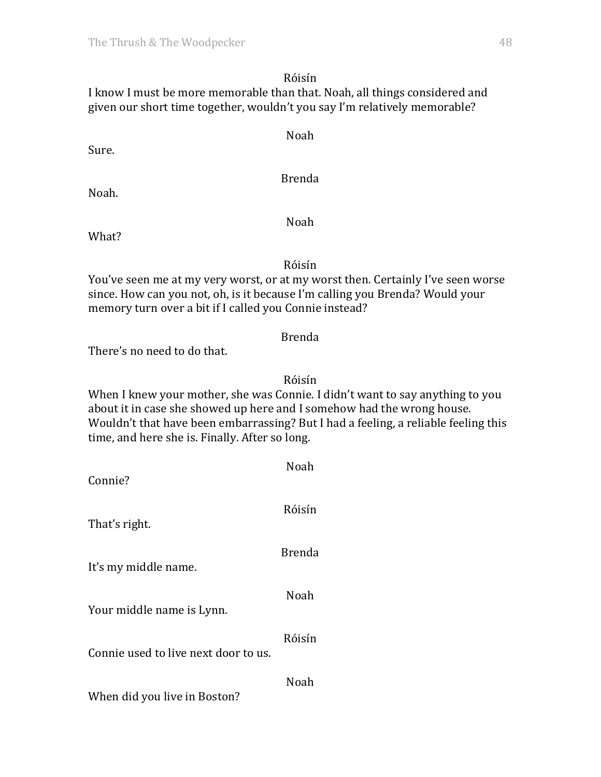I know I must be more memorable than that. Noah, all things considered and given our short time together, wouldn't you say I'm relatively memorable?

Sure.

Brenda

Noah

Noah.

Noah

What?

## Róisín

You've seen me at my very worst, or at my worst then. Certainly I've seen worse since. How can you not, oh, is it because I'm calling you Brenda? Would your memory turn over a bit if I called you Connie instead?

## Brenda

There's no need to do that.

## Róisín

When I knew your mother, she was Connie. I didn't want to say anything to you about it in case she showed up here and I somehow had the wrong house. Wouldn't that have been embarrassing? But I had a feeling, a reliable feeling this time, and here she is. Finally. After so long.

| Connie?                              | Noah          |
|--------------------------------------|---------------|
| That's right.                        | Róisín        |
| It's my middle name.                 | <b>Brenda</b> |
| Your middle name is Lynn.            | Noah          |
| Connie used to live next door to us. | Róisín        |
| When did you live in Boston?         | Noah          |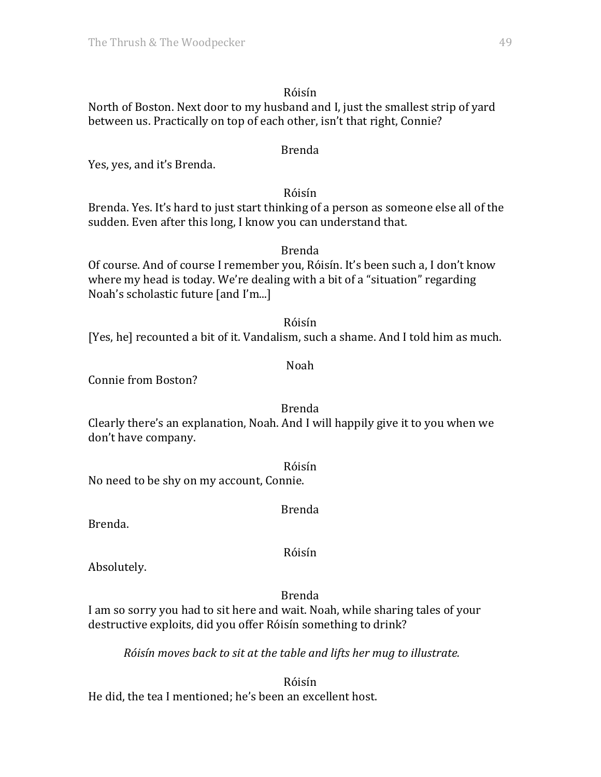North of Boston. Next door to my husband and I, just the smallest strip of yard between us. Practically on top of each other, isn't that right, Connie?

#### Brenda

Yes, yes, and it's Brenda.

#### Róisín

Brenda. Yes. It's hard to just start thinking of a person as someone else all of the sudden. Even after this long, I know you can understand that.

# Brenda

Of course. And of course I remember you, Róisín. It's been such a, I don't know where my head is today. We're dealing with a bit of a "situation" regarding Noah's scholastic future [and I'm...]

Róisín [Yes, he] recounted a bit of it. Vandalism, such a shame. And I told him as much.

#### Noah

Connie from Boston?

Brenda Clearly there's an explanation, Noah. And I will happily give it to you when we don't have company.

Róisín No need to be shy on my account, Connie.

Brenda

Brenda.

Róisín

Absolutely.

Brenda

I am so sorry you had to sit here and wait. Noah, while sharing tales of your destructive exploits, did you offer Róisín something to drink?

*Róisín moves back to sit at the table and lifts her mug to illustrate.* 

Róisín He did, the tea I mentioned; he's been an excellent host.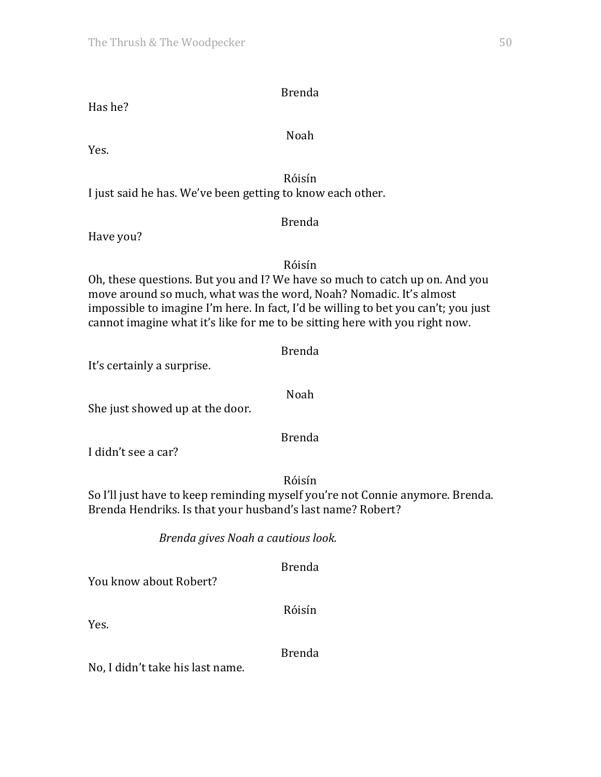Noah

## Has he?

Yes.

Róisín I just said he has. We've been getting to know each other.

### Brenda

Have you?

Róisín Oh, these questions. But you and I? We have so much to catch up on. And you move around so much, what was the word, Noah? Nomadic. It's almost impossible to imagine I'm here. In fact, I'd be willing to bet you can't; you just cannot imagine what it's like for me to be sitting here with you right now.

Brenda

Noah

Brenda

It's certainly a surprise.

She just showed up at the door.

I didn't see a car?

Róisín

So I'll just have to keep reminding myself you're not Connie anymore. Brenda. Brenda Hendriks. Is that your husband's last name? Robert?

*Brenda gives Noah a cautious look.*

Brenda

You know about Robert?

Róisín

Yes.

Brenda

No, I didn't take his last name.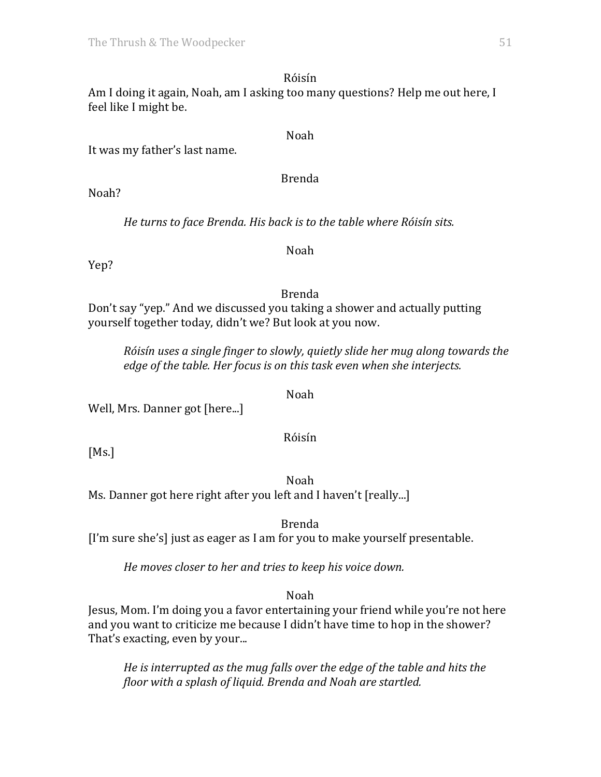#### Róisín Am I doing it again, Noah, am I asking too many questions? Help me out here, I feel like I might be.

#### Noah

It was my father's last name.

#### Brenda

Noah?

He turns to face Brenda. His back is to the table where Róisín sits.

## Noah

Yep?

## Brenda

Don't say "yep." And we discussed you taking a shower and actually putting yourself together today, didn't we? But look at you now.

*Róisín uses a single finger to slowly, quietly slide her mug along towards the edge* of the table. Her focus is on this task even when she interjects.

Noah

Well, Mrs. Danner got [here...]

Róisín

 $[Ms.]$ 

Noah Ms. Danner got here right after you left and I haven't [really...]

Brenda

[I'm sure she's] just as eager as I am for you to make yourself presentable.

*He moves closer to her and tries to keep his voice down.* 

Noah

Jesus, Mom. I'm doing you a favor entertaining your friend while you're not here and you want to criticize me because I didn't have time to hop in the shower? That's exacting, even by your...

He is interrupted as the mug falls over the edge of the table and hits the *floor* with a splash of liquid. Brenda and Noah are startled.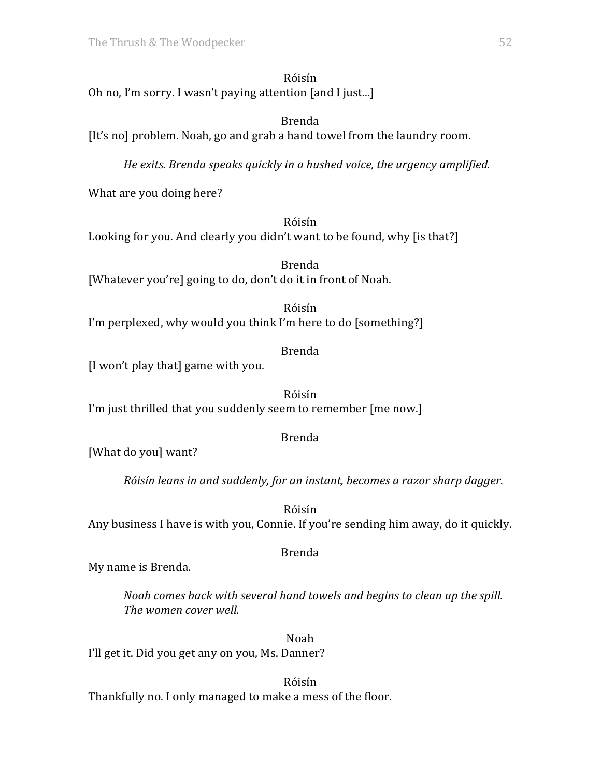Róisín Oh no, I'm sorry. I wasn't paying attention  $[$ and I just...]

## Brenda [It's no] problem. Noah, go and grab a hand towel from the laundry room.

*He exits.* Brenda *speaks quickly* in a hushed voice, the urgency amplified.

What are you doing here?

## Róisín

Looking for you. And clearly you didn't want to be found, why [is that?]

Brenda [Whatever you're] going to do, don't do it in front of Noah.

Róisín I'm perplexed, why would you think I'm here to do [something?]

Brenda

[I won't play that] game with you.

Róisín I'm just thrilled that you suddenly seem to remember [me now.]

# Brenda

[What do you] want?

*Róisín leans in and suddenly, for an instant, becomes a razor sharp dagger.* 

Róisín Any business I have is with you, Connie. If you're sending him away, do it quickly.

# Brenda

My name is Brenda.

*Noah comes back with several hand towels and begins to clean up the spill.* The women cover well.

Noah I'll get it. Did you get any on you, Ms. Danner?

Róisín Thankfully no. I only managed to make a mess of the floor.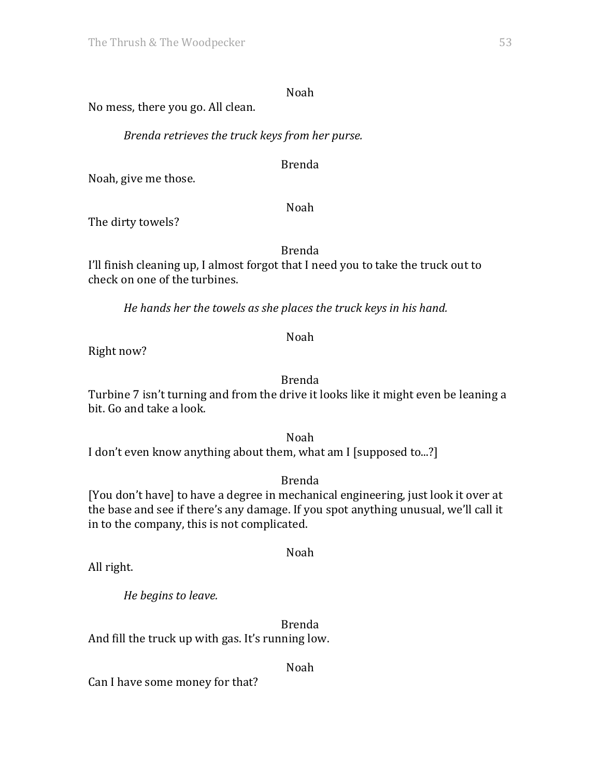#### Noah

No mess, there you go. All clean.

*Brenda retrieves the truck keys from her purse.*

Brenda

Noah, give me those.

Noah

The dirty towels?

Brenda

I'll finish cleaning up, I almost forgot that I need you to take the truck out to check on one of the turbines.

*He hands her the towels as she places the truck keys in his hand.* 

Right now?

Brenda

Noah

Turbine 7 isn't turning and from the drive it looks like it might even be leaning a bit. Go and take a look.

Noah I don't even know anything about them, what am I [supposed to...?]

Brenda

[You don't have] to have a degree in mechanical engineering, just look it over at the base and see if there's any damage. If you spot anything unusual, we'll call it in to the company, this is not complicated.

Noah

All right.

*He begins to leave.*

Brenda And fill the truck up with gas. It's running low.

Noah

Can I have some money for that?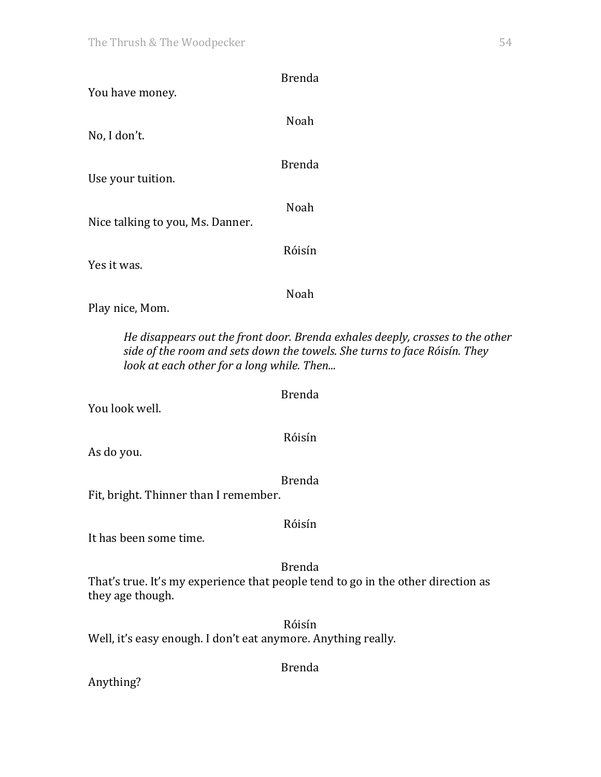| <b>Brenda</b>                                                                                                                                                                                           |
|---------------------------------------------------------------------------------------------------------------------------------------------------------------------------------------------------------|
| You have money.                                                                                                                                                                                         |
| Noah                                                                                                                                                                                                    |
| No, I don't.                                                                                                                                                                                            |
| <b>Brenda</b>                                                                                                                                                                                           |
| Use your tuition.                                                                                                                                                                                       |
| Noah                                                                                                                                                                                                    |
| Nice talking to you, Ms. Danner.                                                                                                                                                                        |
| Róisín                                                                                                                                                                                                  |
| Yes it was.                                                                                                                                                                                             |
| Noah                                                                                                                                                                                                    |
| Play nice, Mom.                                                                                                                                                                                         |
| He disappears out the front door. Brenda exhales deeply, crosses to the other<br>side of the room and sets down the towels. She turns to face Róisín. They<br>look at each other for a long while. Then |
| <b>Brenda</b><br>You look well.                                                                                                                                                                         |
| Róisín<br>As do you.                                                                                                                                                                                    |
|                                                                                                                                                                                                         |
| <b>Brenda</b><br>Fit, bright. Thinner than I remember.                                                                                                                                                  |
| Róisín                                                                                                                                                                                                  |
| It has been some time.                                                                                                                                                                                  |
| <b>Brenda</b><br>That's true. It's my experience that people tend to go in the other direction as<br>they age though.                                                                                   |
| Róisín<br>Well, it's easy enough. I don't eat anymore. Anything really.                                                                                                                                 |
| <b>Brenda</b>                                                                                                                                                                                           |
| Anything?                                                                                                                                                                                               |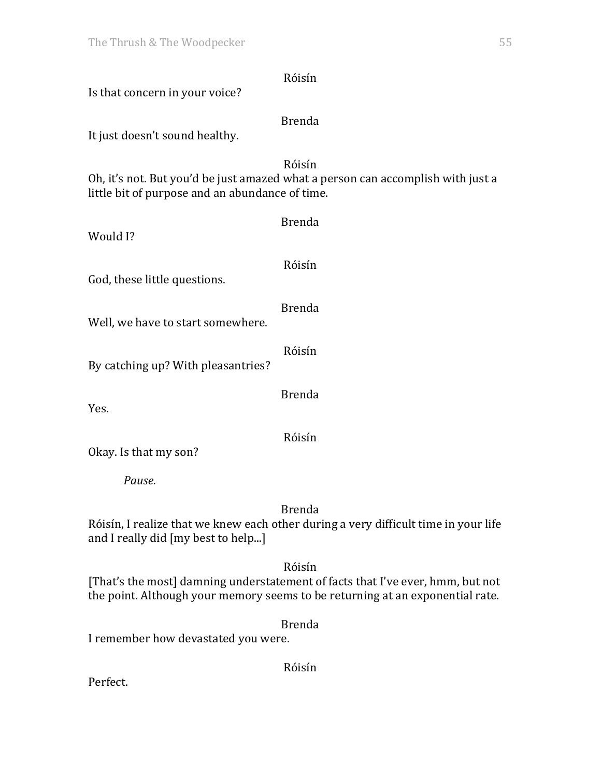| Róisín<br>Is that concern in your voice?                                                                                                     |
|----------------------------------------------------------------------------------------------------------------------------------------------|
| <b>Brenda</b>                                                                                                                                |
| It just doesn't sound healthy.                                                                                                               |
| Róisín<br>Oh, it's not. But you'd be just amazed what a person can accomplish with just a<br>little bit of purpose and an abundance of time. |
| <b>Brenda</b><br>Would I?                                                                                                                    |
| Róisín<br>God, these little questions.                                                                                                       |
| <b>Brenda</b><br>Well, we have to start somewhere.                                                                                           |
| Róisín<br>By catching up? With pleasantries?                                                                                                 |
| <b>Brenda</b><br>Yes.                                                                                                                        |
| Róisín<br>Okay. Is that my son?                                                                                                              |
| Pause.                                                                                                                                       |
| <b>Brenda</b><br>Róisín, I realize that we knew each other during a very difficult time in your life<br>and I really did [my best to help]   |

[That's the most] damning understatement of facts that I've ever, hmm, but not the point. Although your memory seems to be returning at an exponential rate.

Brenda

I remember how devastated you were.

Róisín

Perfect.

Róisín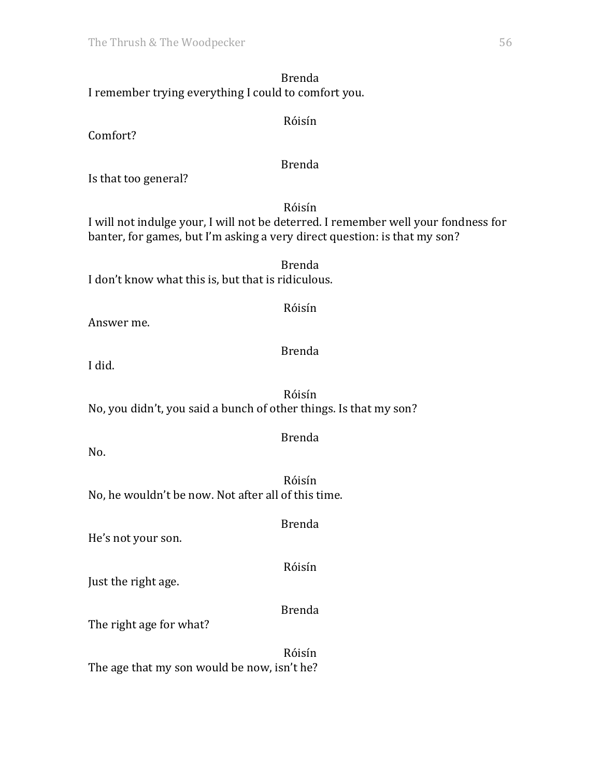Brenda I remember trying everything I could to comfort you.

Comfort?

### Brenda

Róisín

Is that too general?

Róisín

I will not indulge your, I will not be deterred. I remember well your fondness for banter, for games, but I'm asking a very direct question: is that my son?

Brenda I don't know what this is, but that is ridiculous.

Answer me.

Brenda

Róisín

I did.

Róisín No, you didn't, you said a bunch of other things. Is that my son?

Brenda

No.

Róisín No, he wouldn't be now. Not after all of this time.

He's not your son.

Róisín

Brenda

Just the right age.

Brenda

The right age for what?

Róisín The age that my son would be now, isn't he?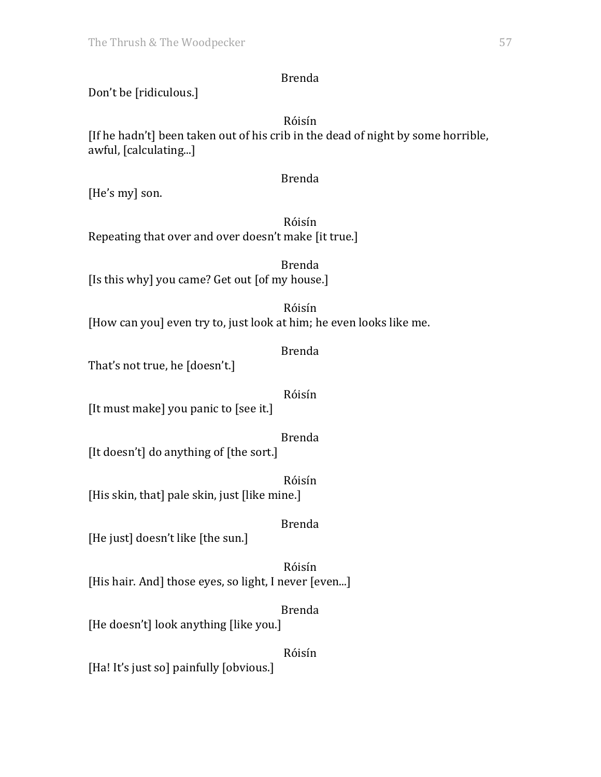# Don't be [ridiculous.]

Róisín [If he hadn't] been taken out of his crib in the dead of night by some horrible, awful, [calculating...]

#### Brenda

[He's my] son.

Róisín Repeating that over and over doesn't make [it true.]

Brenda [Is this why] you came? Get out [of my house.]

Róisín [How can you] even try to, just look at him; he even looks like me.

Brenda

That's not true, he [doesn't.]

Róisín

[It must make] you panic to [see it.]

Brenda

[It doesn't] do anything of [the sort.]

Róisín [His skin, that] pale skin, just [like mine.]

Brenda

[He just] doesn't like [the sun.]

Róisín [His hair. And] those eyes, so light, I never [even...]

Brenda [He doesn't] look anything [like you.]

Róisín

[Ha! It's just so] painfully [obvious.]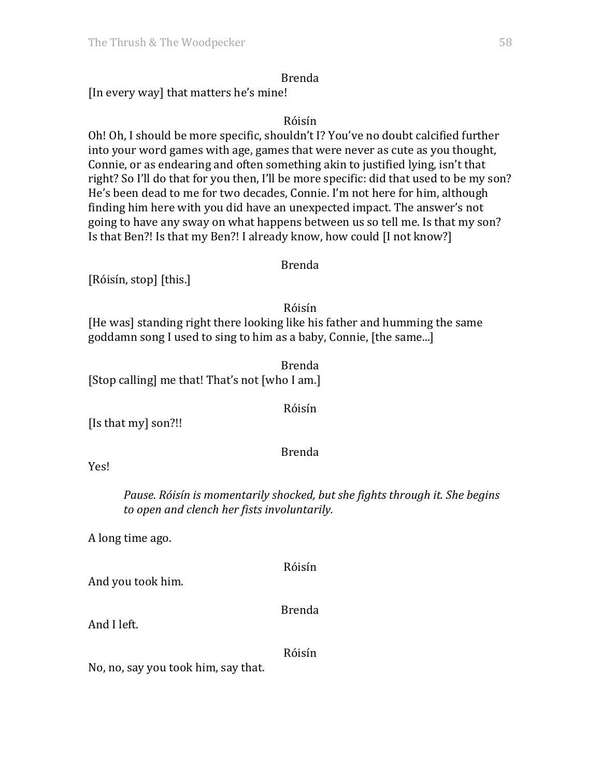[In every way] that matters he's mine!

## Róisín

Oh! Oh, I should be more specific, shouldn't I? You've no doubt calcified further into your word games with age, games that were never as cute as you thought, Connie, or as endearing and often something akin to justified lying, isn't that right? So I'll do that for you then, I'll be more specific: did that used to be my son? He's been dead to me for two decades, Connie. I'm not here for him, although finding him here with you did have an unexpected impact. The answer's not going to have any sway on what happens between us so tell me. Is that my son? Is that Ben?! Is that my Ben?! I already know, how could [I not know?]

## Brenda

[Róisín, stop] [this.]

Róisín

[He was] standing right there looking like his father and humming the same goddamn song I used to sing to him as a baby, Connie, [the same...]

Brenda [Stop calling] me that! That's not [who I am.]

## Róisín

[Is that my] son?!!

## Brenda

Yes!

*Pause.* Róisín is momentarily shocked, but she fights through it. She begins *to open and clench her fists involuntarily.*

A long time ago.

Róisín

And you took him.

Brenda

And I left.

Róisín

No, no, say you took him, say that.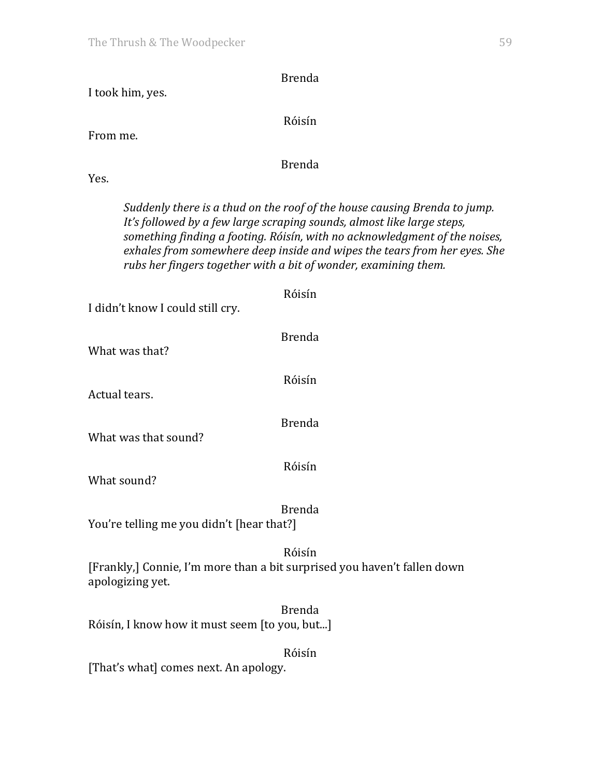| <b>Brenda</b>                                                                                                                                                                                                                                                                                                                                                                     |
|-----------------------------------------------------------------------------------------------------------------------------------------------------------------------------------------------------------------------------------------------------------------------------------------------------------------------------------------------------------------------------------|
| I took him, yes.                                                                                                                                                                                                                                                                                                                                                                  |
| Róisín                                                                                                                                                                                                                                                                                                                                                                            |
| From me.                                                                                                                                                                                                                                                                                                                                                                          |
| <b>Brenda</b>                                                                                                                                                                                                                                                                                                                                                                     |
| Yes.                                                                                                                                                                                                                                                                                                                                                                              |
| Suddenly there is a thud on the roof of the house causing Brenda to jump.<br>It's followed by a few large scraping sounds, almost like large steps,<br>something finding a footing. Róisín, with no acknowledgment of the noises,<br>exhales from somewhere deep inside and wipes the tears from her eyes. She<br>rubs her fingers together with a bit of wonder, examining them. |
| Róisín                                                                                                                                                                                                                                                                                                                                                                            |
| I didn't know I could still cry.                                                                                                                                                                                                                                                                                                                                                  |
| <b>Brenda</b><br>What was that?                                                                                                                                                                                                                                                                                                                                                   |
| Róisín                                                                                                                                                                                                                                                                                                                                                                            |
| Actual tears.                                                                                                                                                                                                                                                                                                                                                                     |
| <b>Brenda</b><br>What was that sound?                                                                                                                                                                                                                                                                                                                                             |
| Róisín                                                                                                                                                                                                                                                                                                                                                                            |
| What sound?                                                                                                                                                                                                                                                                                                                                                                       |
| <b>Brenda</b><br>You're telling me you didn't [hear that?]                                                                                                                                                                                                                                                                                                                        |
| Róisín<br>[Frankly,] Connie, I'm more than a bit surprised you haven't fallen down<br>apologizing yet.                                                                                                                                                                                                                                                                            |
| <b>Brenda</b><br>Róisín, I know how it must seem [to you, but]                                                                                                                                                                                                                                                                                                                    |
| Róisín                                                                                                                                                                                                                                                                                                                                                                            |
| [That's what] comes next. An apology.                                                                                                                                                                                                                                                                                                                                             |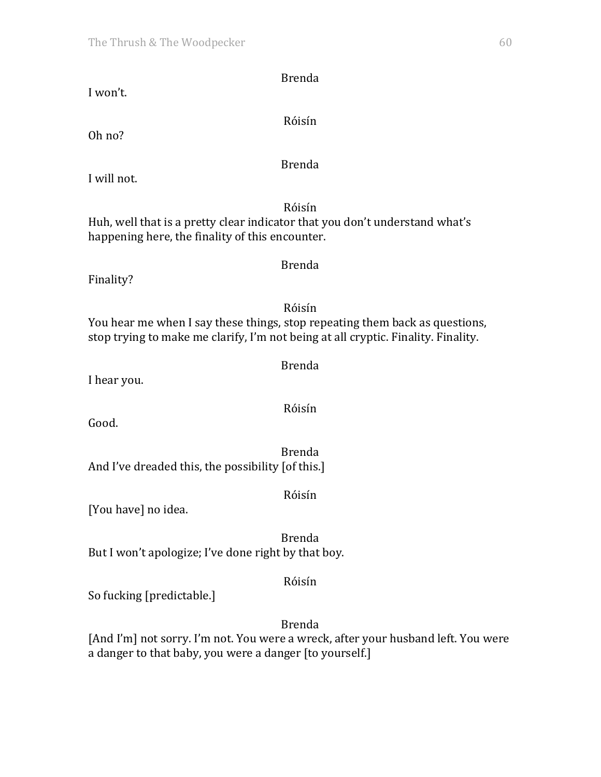| <b>Brenda</b><br>I won't.                                                                                                                                                  |
|----------------------------------------------------------------------------------------------------------------------------------------------------------------------------|
| Róisín<br>Oh no?                                                                                                                                                           |
| <b>Brenda</b><br>I will not.                                                                                                                                               |
| Róisín<br>Huh, well that is a pretty clear indicator that you don't understand what's<br>happening here, the finality of this encounter.                                   |
| <b>Brenda</b><br>Finality?                                                                                                                                                 |
| Róisín<br>You hear me when I say these things, stop repeating them back as questions,<br>stop trying to make me clarify, I'm not being at all cryptic. Finality. Finality. |
| <b>Brenda</b><br>I hear you.                                                                                                                                               |
| Róisín<br>Good.                                                                                                                                                            |
| <b>Brenda</b><br>And I've dreaded this, the possibility [of this.]                                                                                                         |
| Róisín<br>[You have] no idea.                                                                                                                                              |
| <b>Brenda</b><br>But I won't apologize; I've done right by that boy.                                                                                                       |
| Róisín<br>So fucking [predictable.]                                                                                                                                        |
| <b>Brenda</b><br>[And I'm] not sorry. I'm not. You were a wreck, after your husband left. You were<br>a danger to that baby, you were a danger [to yourself.]              |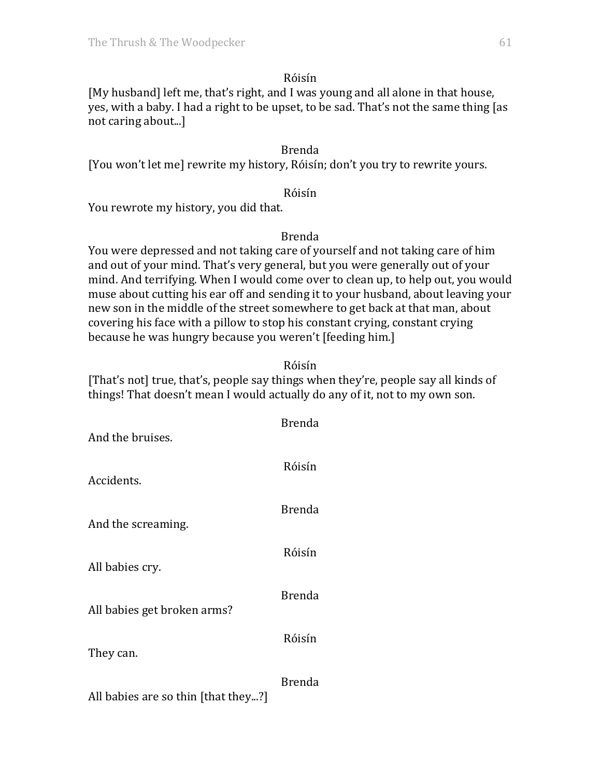[My husband] left me, that's right, and I was young and all alone in that house, yes, with a baby. I had a right to be upset, to be sad. That's not the same thing [as not caring about...]

## Brenda

[You won't let me] rewrite my history, Róisín; don't you try to rewrite yours.

#### Róisín

You rewrote my history, you did that.

#### Brenda

You were depressed and not taking care of yourself and not taking care of him and out of your mind. That's very general, but you were generally out of your mind. And terrifying. When I would come over to clean up, to help out, you would muse about cutting his ear off and sending it to your husband, about leaving your new son in the middle of the street somewhere to get back at that man, about covering his face with a pillow to stop his constant crying, constant crying because he was hungry because you weren't [feeding him.]

## Róisín

[That's not] true, that's, people say things when they're, people say all kinds of things! That doesn't mean I would actually do any of it, not to my own son.

| And the bruises.                    | <b>Brenda</b> |
|-------------------------------------|---------------|
| Accidents.                          | Róisín        |
| And the screaming.                  | <b>Brenda</b> |
| All babies cry.                     | Róisín        |
| All babies get broken arms?         | <b>Brenda</b> |
| They can.                           | Róisín        |
| All babies are so thin [that they?] | <b>Brenda</b> |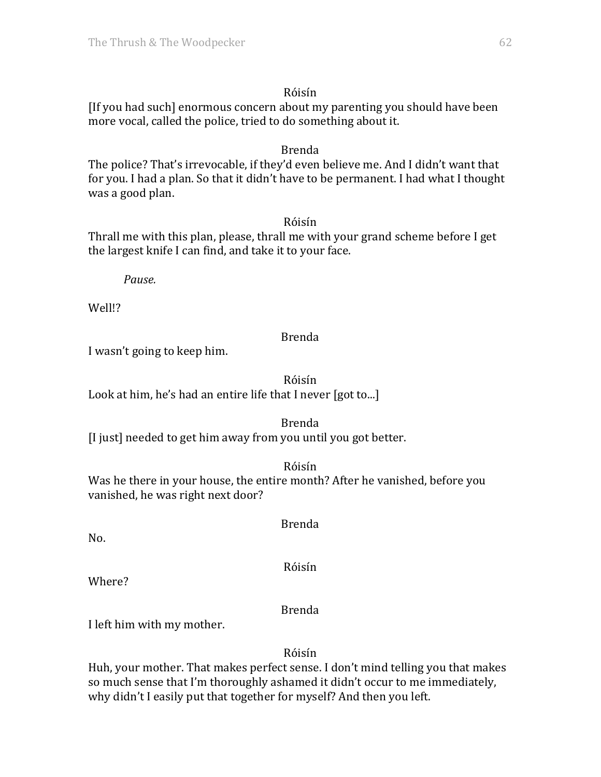[If you had such] enormous concern about my parenting you should have been more vocal, called the police, tried to do something about it.

#### Brenda

The police? That's irrevocable, if they'd even believe me. And I didn't want that for you. I had a plan. So that it didn't have to be permanent. I had what I thought was a good plan.

## Róisín

Thrall me with this plan, please, thrall me with your grand scheme before I get the largest knife I can find, and take it to your face.

*Pause.*

Well!?

## Brenda

I wasn't going to keep him.

# Róisín

Look at him, he's had an entire life that I never [got to...]

## Brenda

[I just] needed to get him away from you until you got better.

Róisín

Was he there in your house, the entire month? After he vanished, before you vanished, he was right next door?

No.

Róisín

Brenda

Where?

Brenda

I left him with my mother.

Róisín

Huh, your mother. That makes perfect sense. I don't mind telling you that makes so much sense that I'm thoroughly ashamed it didn't occur to me immediately, why didn't I easily put that together for myself? And then you left.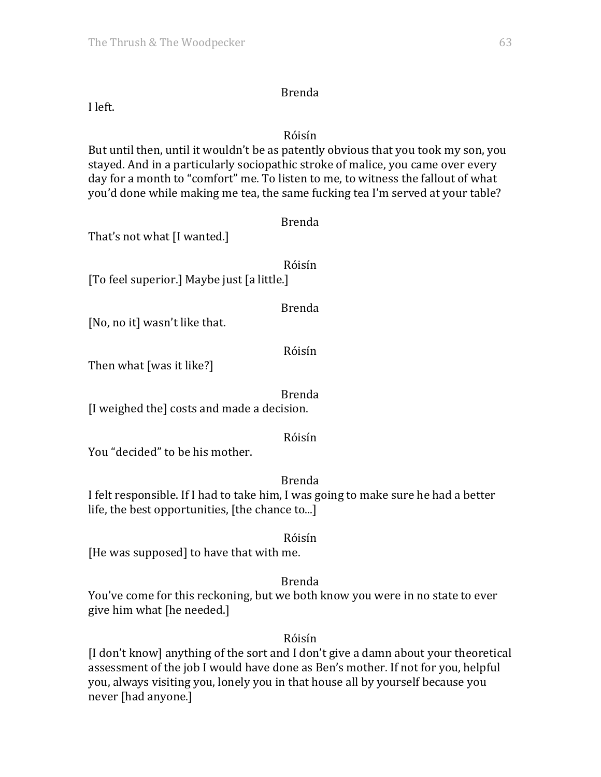I left.

# Róisín

But until then, until it wouldn't be as patently obvious that you took my son, you stayed. And in a particularly sociopathic stroke of malice, you came over every day for a month to "comfort" me. To listen to me, to witness the fallout of what you'd done while making me tea, the same fucking tea I'm served at your table?

| That's not what [I wanted.]                | <b>Brenda</b> |
|--------------------------------------------|---------------|
| [To feel superior.] Maybe just [a little.] | Róisín        |
| [No, no it] wasn't like that.              | <b>Brenda</b> |
| Then what [was it like?]                   | Róisín        |
|                                            |               |

Brenda

[I weighed the] costs and made a decision.

Róisín

You "decided" to be his mother.

# Brenda

I felt responsible. If I had to take him, I was going to make sure he had a better life, the best opportunities,  $[$ the chance to... $]$ 

Róisín

[He was supposed] to have that with me.

# Brenda

You've come for this reckoning, but we both know you were in no state to ever give him what [he needed.]

Róisín

[I don't know] anything of the sort and I don't give a damn about your theoretical assessment of the job I would have done as Ben's mother. If not for you, helpful you, always visiting you, lonely you in that house all by yourself because you never [had anyone.]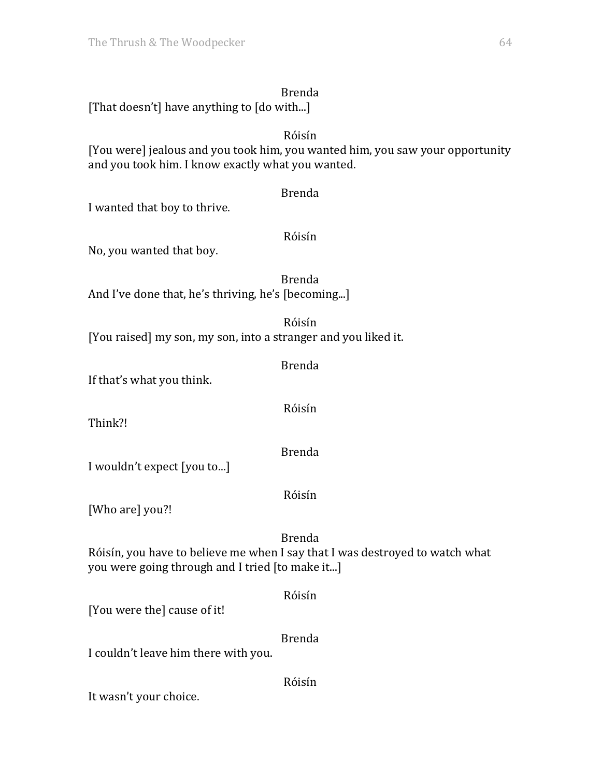[That doesn't] have anything to [do with...]

## Róisín

[You were] jealous and you took him, you wanted him, you saw your opportunity and you took him. I know exactly what you wanted.

#### Brenda

I wanted that boy to thrive.

## Róisín

No, you wanted that boy.

Brenda And I've done that, he's thriving, he's [becoming...]

Róisín [You raised] my son, my son, into a stranger and you liked it.

If that's what you think.

Think?! 

Brenda

Brenda

Róisín

I wouldn't expect [you to...]

Róisín

[Who are] you?!

Brenda

Róisín

Róisín, you have to believe me when I say that I was destroyed to watch what you were going through and I tried [to make it...]

Róisín [You were the] cause of it! Brenda

I couldn't leave him there with you.

It wasn't your choice.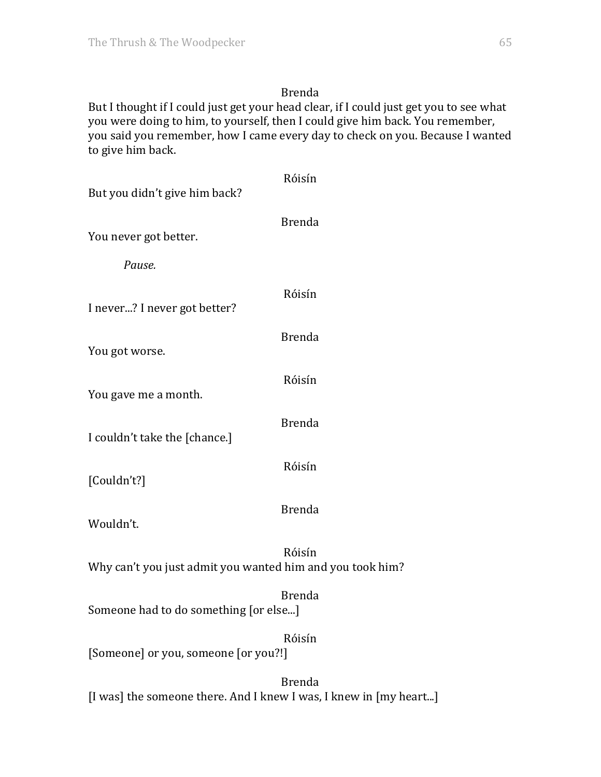But I thought if I could just get your head clear, if I could just get you to see what you were doing to him, to yourself, then I could give him back. You remember, you said you remember, how I came every day to check on you. Because I wanted to give him back.

| But you didn't give him back?                             | Róisín        |
|-----------------------------------------------------------|---------------|
| You never got better.                                     | <b>Brenda</b> |
| Pause.                                                    |               |
| I never? I never got better?                              | Róisín        |
| You got worse.                                            | <b>Brenda</b> |
| You gave me a month.                                      | Róisín        |
| I couldn't take the [chance.]                             | <b>Brenda</b> |
| [Couldn't?]                                               | Róisín        |
| Wouldn't.                                                 | <b>Brenda</b> |
| Why can't you just admit you wanted him and you took him? | Róisín        |
| Someone had to do something [or else]                     | <b>Brenda</b> |
| [Someone] or you, someone [or you?!]                      | Róisín        |
|                                                           | <b>Brenda</b> |

[I was] the someone there. And I knew I was, I knew in [my heart...]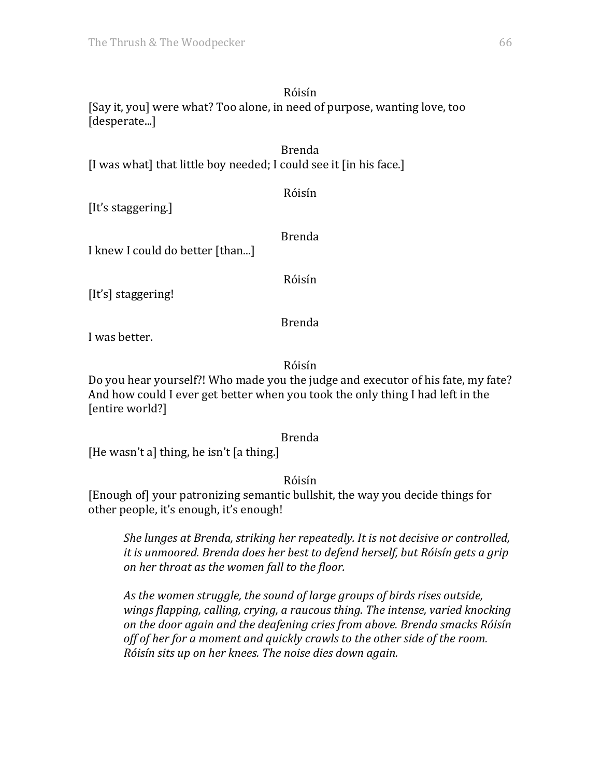[Say it, you] were what? Too alone, in need of purpose, wanting love, too [desperate...]

Brenda [I was what] that little boy needed; I could see it [in his face.]

[It's staggering.]

Brenda

Róisín

I knew I could do better [than...]

Róisín

[It's] staggering!

Brenda

I was better.

Róisín

Do you hear yourself?! Who made you the judge and executor of his fate, my fate? And how could I ever get better when you took the only thing I had left in the [entire world?]

Brenda

[He wasn't a] thing, he isn't [a thing.]

Róisín

[Enough of] your patronizing semantic bullshit, the way you decide things for other people, it's enough, it's enough!

*She lunges at Brenda, striking her repeatedly. It is not decisive or controlled, it is unmoored. Brenda does her best to defend herself, but Róisín gets a grip on her throat as the women fall to the floor.* 

As the women struggle, the sound of *large groups* of *birds rises* outside, wings flapping, calling, crying, a raucous thing. The intense, varied knocking *on the door again and the deafening cries from above. Brenda smacks Róisín*  off of her for a moment and quickly crawls to the other side of the room. *Róisín sits up on her knees. The noise dies down again.*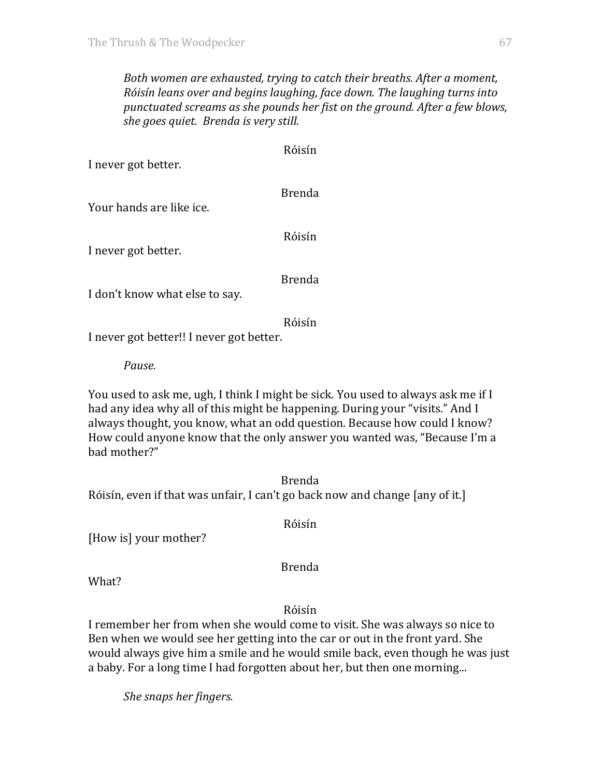*Both* women are exhausted, trying to catch their breaths. After a moment, *Róisín leans over and begins laughing, face down. The laughing turns into* punctuated screams as she pounds her fist on the ground. After a few blows, *she goes quiet. Brenda is very still.* 

Róisín

| I never got better.            | ,,,,,,,,      |
|--------------------------------|---------------|
| Your hands are like ice.       | <b>Brenda</b> |
| I never got better.            | Róisín        |
| I don't know what else to say. | <b>Brenda</b> |

I don't know what else to say

Róisín

I never got better!! I never got better.

*Pause.*

You used to ask me, ugh, I think I might be sick. You used to always ask me if I had any idea why all of this might be happening. During your "visits." And I always thought, you know, what an odd question. Because how could I know? How could anyone know that the only answer you wanted was, "Because I'm a bad mother?"

Brenda Róisín, even if that was unfair, I can't go back now and change [any of it.]

[How is] your mother?

Brenda

Róisín

What?

Róisín

I remember her from when she would come to visit. She was always so nice to Ben when we would see her getting into the car or out in the front yard. She would always give him a smile and he would smile back, even though he was just a baby. For a long time I had forgotten about her, but then one morning...

*She snaps her fingers.*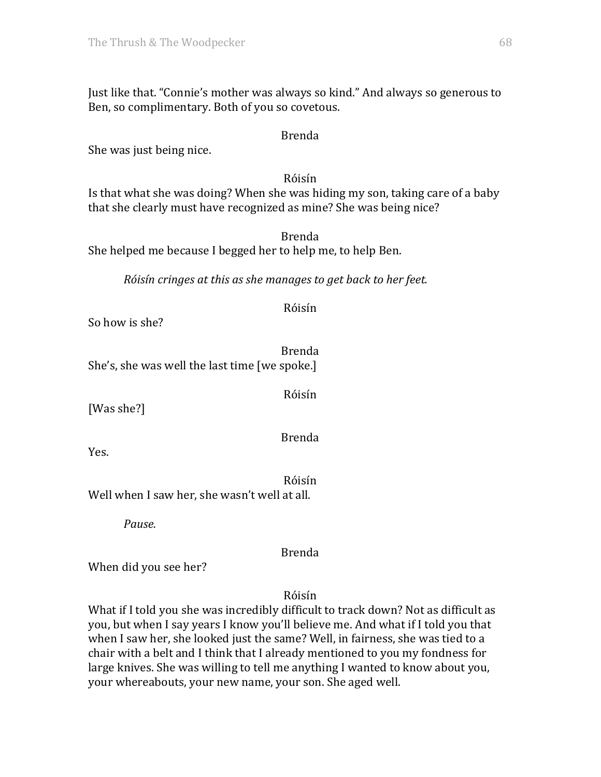Just like that. "Connie's mother was always so kind." And always so generous to Ben, so complimentary. Both of you so covetous.

#### Brenda

She was just being nice.

## Róisín

Is that what she was doing? When she was hiding my son, taking care of a baby that she clearly must have recognized as mine? She was being nice?

Brenda She helped me because I begged her to help me, to help Ben.

*Róisín cringes at this as she manages to get back to her feet.* 

## Róisín

So how is she?

Brenda She's, she was well the last time [we spoke.]

[Was she?]

Brenda

Róisín

Yes.

Róisín Well when I saw her, she wasn't well at all.

*Pause.*

Brenda

When did you see her?

Róisín

What if I told you she was incredibly difficult to track down? Not as difficult as you, but when I say years I know you'll believe me. And what if I told you that when I saw her, she looked just the same? Well, in fairness, she was tied to a chair with a belt and I think that I already mentioned to you my fondness for large knives. She was willing to tell me anything I wanted to know about you, your whereabouts, your new name, your son. She aged well.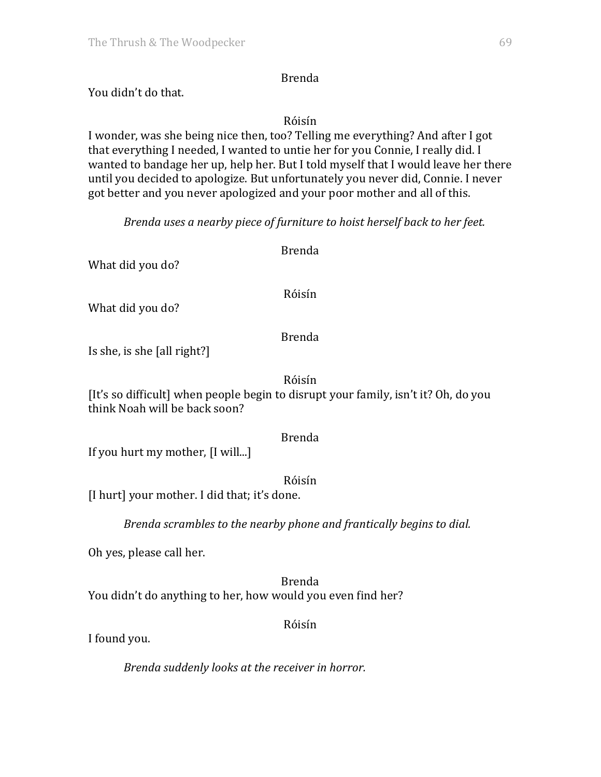You didn't do that.

## Róisín

I wonder, was she being nice then, too? Telling me everything? And after I got that everything I needed, I wanted to untie her for you Connie, I really did. I wanted to bandage her up, help her. But I told myself that I would leave her there until you decided to apologize. But unfortunately you never did, Connie. I never got better and you never apologized and your poor mother and all of this.

*Brenda uses a nearby piece of furniture to hoist herself back to her feet.* 

What did you do?

## Róisín

Brenda

What did you do?

## Brenda

Is she, is she [all right?]

## Róisín

[It's so difficult] when people begin to disrupt your family, isn't it? Oh, do you think Noah will be back soon?

## Brenda

If you hurt my mother, [I will...]

## Róisín

[I hurt] your mother. I did that; it's done.

*Brenda scrambles to the nearby phone and frantically begins to dial.* 

Oh yes, please call her.

Brenda You didn't do anything to her, how would you even find her?

## Róisín

I found you.

*Brenda suddenly looks at the receiver in horror.*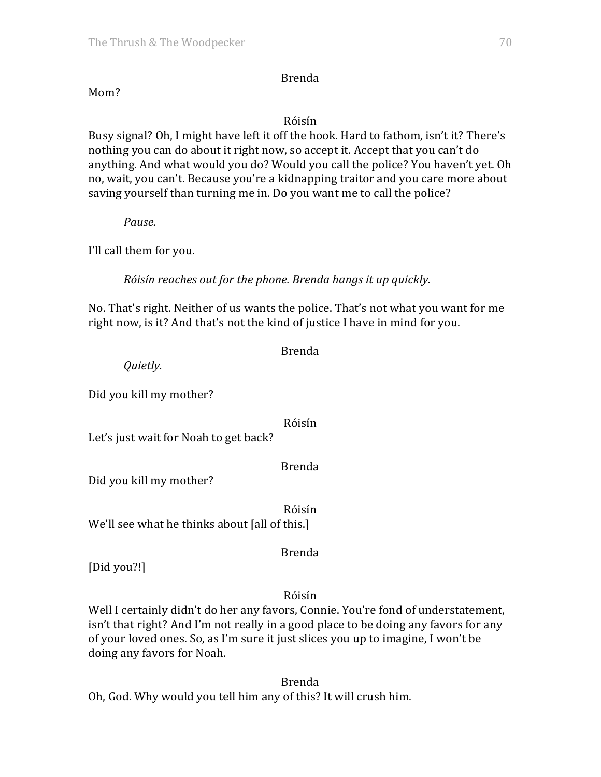## Mom?

#### Róisín

Busy signal? Oh, I might have left it off the hook. Hard to fathom, isn't it? There's nothing you can do about it right now, so accept it. Accept that you can't do anything. And what would you do? Would you call the police? You haven't yet. Oh no, wait, you can't. Because you're a kidnapping traitor and you care more about saving yourself than turning me in. Do you want me to call the police?

*Pause.*

I'll call them for you.

*Róisín reaches out for the phone. Brenda hangs it up quickly.* 

No. That's right. Neither of us wants the police. That's not what you want for me right now, is it? And that's not the kind of justice I have in mind for you.

Brenda

*Quietly.*

Did you kill my mother?

Róisín

Let's just wait for Noah to get back?

Brenda

Did you kill my mother?

Róisín We'll see what he thinks about [all of this.]

Brenda

[Did you?!]

Róisín

Well I certainly didn't do her any favors, Connie. You're fond of understatement, isn't that right? And I'm not really in a good place to be doing any favors for any of your loved ones. So, as I'm sure it just slices you up to imagine, I won't be doing any favors for Noah.

Brenda Oh, God. Why would you tell him any of this? It will crush him.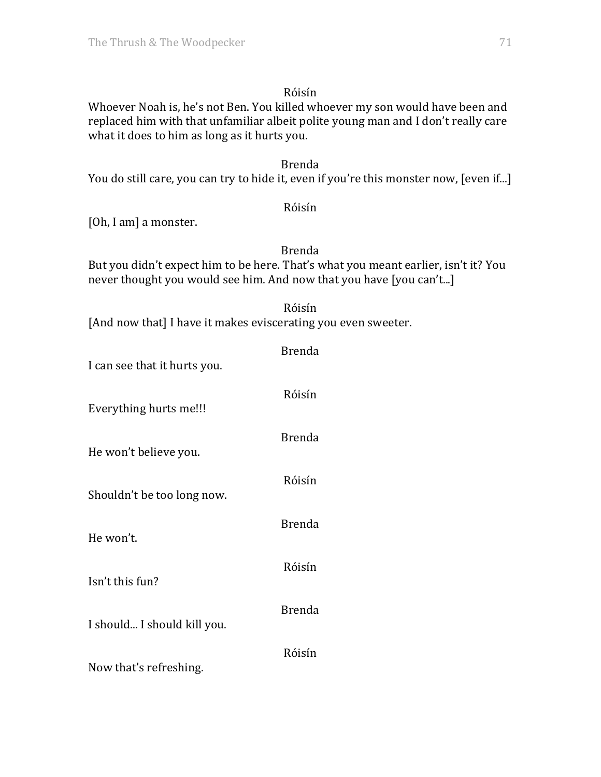Whoever Noah is, he's not Ben. You killed whoever my son would have been and replaced him with that unfamiliar albeit polite young man and I don't really care what it does to him as long as it hurts you.

# Brenda

You do still care, you can try to hide it, even if you're this monster now, [even if...]

## Róisín

[Oh, I am] a monster.

## Brenda

But you didn't expect him to be here. That's what you meant earlier, isn't it? You never thought you would see him. And now that you have [you can't...]

| Róisín                                                        |
|---------------------------------------------------------------|
| [And now that] I have it makes eviscerating you even sweeter. |

| I can see that it hurts you. | <b>Brenda</b> |
|------------------------------|---------------|
| Everything hurts me!!!       | Róisín        |
| He won't believe you.        | <b>Brenda</b> |
| Shouldn't be too long now.   | Róisín        |
| He won't.                    | <b>Brenda</b> |
| Isn't this fun?              | Róisín        |
|                              | <b>Brenda</b> |
| I should I should kill you.  | Róisín        |
| Now that's refreshing.       |               |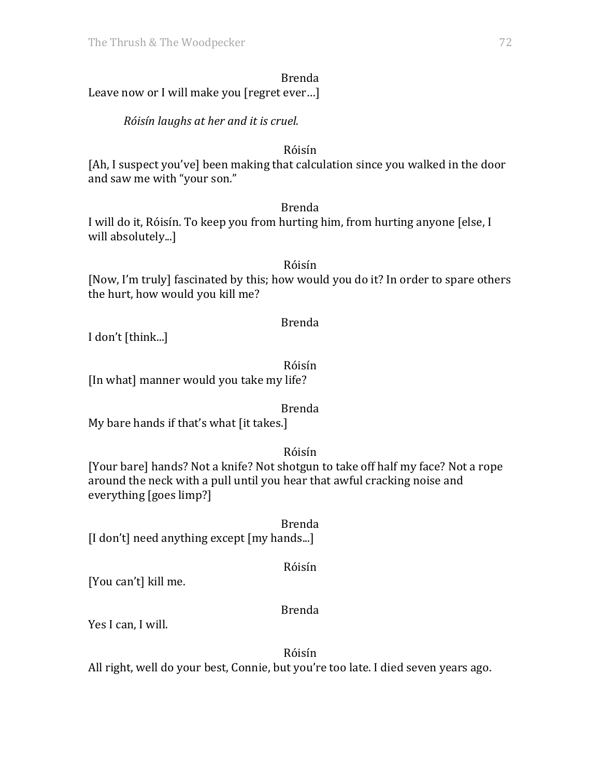|                                            | <b>Brenda</b> |  |
|--------------------------------------------|---------------|--|
| Leave now or I will make you [regret ever] |               |  |

*Róisín laughs at her and it is cruel.*

## Róisín

[Ah, I suspect you've] been making that calculation since you walked in the door and saw me with "your son."

## Brenda

I will do it, Róisín. To keep you from hurting him, from hurting anyone [else, I will absolutely...]

## Róisín

[Now, I'm truly] fascinated by this; how would you do it? In order to spare others the hurt, how would you kill me?

# Brenda

I don't [think...]

# Róisín

[In what] manner would you take my life?

# Brenda

My bare hands if that's what [it takes.]

# Róisín

[Your bare] hands? Not a knife? Not shotgun to take off half my face? Not a rope around the neck with a pull until you hear that awful cracking noise and everything [goes limp?]

Brenda [I don't] need anything except [my hands...]

Róisín

[You can't] kill me.

# Brenda

Yes I can, I will.

Róisín

All right, well do your best, Connie, but you're too late. I died seven years ago.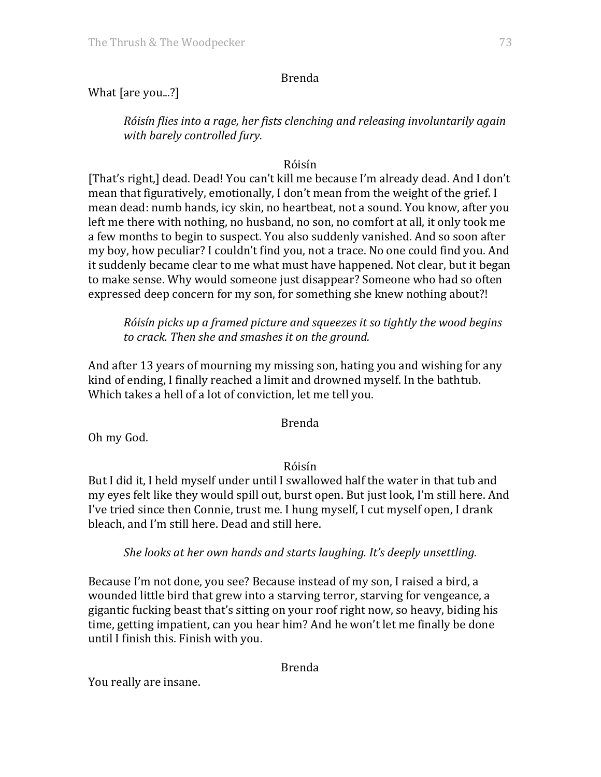# Brenda

# What  $[$ are you...? $]$

*Róisín flies into a rage, her fists clenching and releasing involuntarily again with barely controlled fury.*

# Róisín

[That's right,] dead. Dead! You can't kill me because I'm already dead. And I don't mean that figuratively, emotionally, I don't mean from the weight of the grief. I mean dead: numb hands, icy skin, no heartbeat, not a sound. You know, after you left me there with nothing, no husband, no son, no comfort at all, it only took me a few months to begin to suspect. You also suddenly vanished. And so soon after my boy, how peculiar? I couldn't find you, not a trace. No one could find you. And it suddenly became clear to me what must have happened. Not clear, but it began to make sense. Why would someone just disappear? Someone who had so often expressed deep concern for my son, for something she knew nothing about?!

*Róisín picks up a framed picture and squeezes it so tightly the wood begins* to crack. Then she and smashes it on the ground.

And after 13 years of mourning my missing son, hating you and wishing for any kind of ending, I finally reached a limit and drowned myself. In the bathtub. Which takes a hell of a lot of conviction, let me tell you.

# Brenda

Oh my God.

# Róisín

But I did it, I held myself under until I swallowed half the water in that tub and my eyes felt like they would spill out, burst open. But just look, I'm still here. And I've tried since then Connie, trust me. I hung myself, I cut myself open, I drank bleach, and I'm still here. Dead and still here.

# *She looks at her own hands and starts laughing. It's deeply unsettling.*

Because I'm not done, you see? Because instead of my son, I raised a bird, a wounded little bird that grew into a starving terror, starving for vengeance, a gigantic fucking beast that's sitting on your roof right now, so heavy, biding his time, getting impatient, can you hear him? And he won't let me finally be done until I finish this. Finish with you.

# Brenda

You really are insane.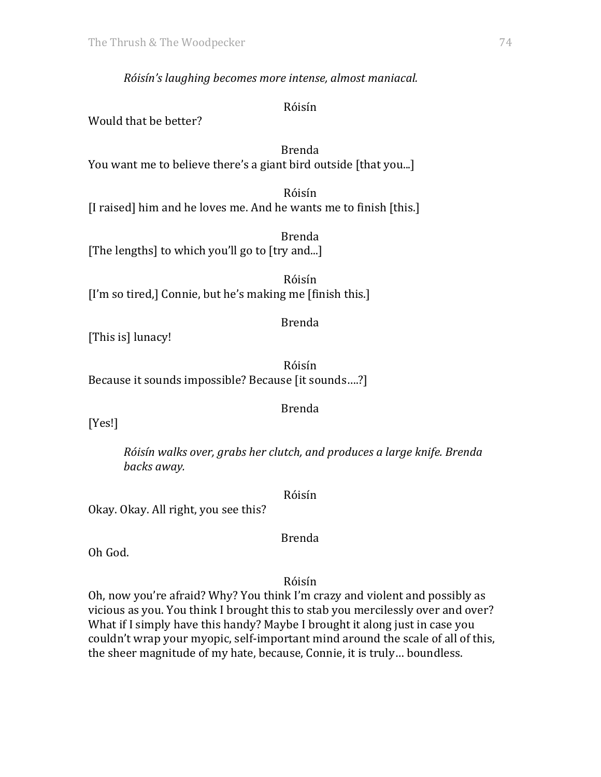*Róisín's laughing becomes more intense, almost maniacal.*

Róisín

Would that be better?

Brenda You want me to believe there's a giant bird outside [that you...]

Róisín [I raised] him and he loves me. And he wants me to finish [this.]

Brenda [The lengths] to which you'll go to [try and...]

Róisín [I'm so tired,] Connie, but he's making me [finish this.]

## Brenda

[This is] lunacy!

Róisín Because it sounds impossible? Because [it sounds....?]

# Brenda

[Yes!]

*Róisín walks over, grabs her clutch, and produces a large knife. Brenda backs away.*

Róisín

Okay. Okay. All right, you see this?

Oh God.

Róisín

Brenda

Oh, now you're afraid? Why? You think I'm crazy and violent and possibly as vicious as you. You think I brought this to stab you mercilessly over and over? What if I simply have this handy? Maybe I brought it along just in case you couldn't wrap your myopic, self-important mind around the scale of all of this, the sheer magnitude of my hate, because, Connie, it is truly... boundless.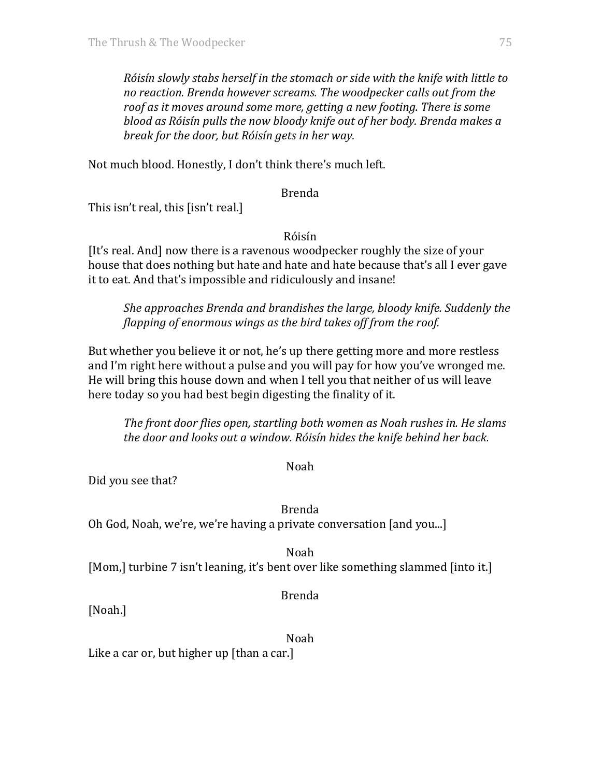*Róisín slowly stabs herself in the stomach or side with the knife with little to* no reaction. Brenda however screams. The woodpecker calls out from the roof as it moves around some more, getting a new footing. There is some *blood as Róisín pulls the now bloody knife out of her body. Brenda makes a break for the door, but Róisín gets in her way.* 

Not much blood. Honestly, I don't think there's much left.

#### Brenda

This isn't real, this  $\lceil$ isn't real. $\rceil$ 

Róisín

[It's real. And] now there is a ravenous woodpecker roughly the size of your house that does nothing but hate and hate and hate because that's all I ever gave it to eat. And that's impossible and ridiculously and insane!

*She approaches Brenda and brandishes the large, bloody knife. Suddenly the flapping of enormous wings as the bird takes off from the roof.* 

But whether you believe it or not, he's up there getting more and more restless and I'm right here without a pulse and you will pay for how you've wronged me. He will bring this house down and when I tell you that neither of us will leave here today so you had best begin digesting the finality of it.

*The front door flies open, startling both women as Noah rushes in. He slams the door and looks out a window. Róisín hides the knife behind her back.* 

Noah

Did you see that?

Brenda Oh God, Noah, we're, we're having a private conversation [and you...]

Noah [Mom,] turbine 7 isn't leaning, it's bent over like something slammed [into it.]

Brenda

[Noah.]

Noah

Like a car or, but higher up  $[than a car.]$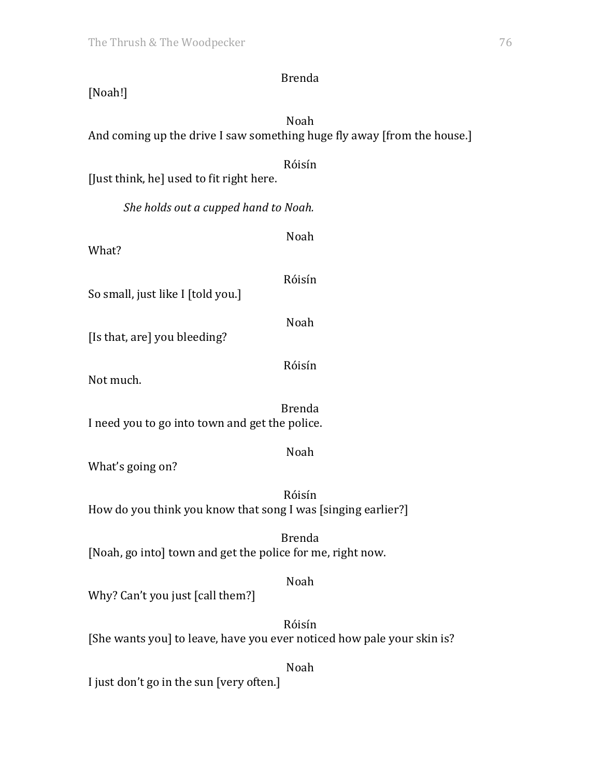| <b>Brenda</b><br>[Noah!]                                                         |  |
|----------------------------------------------------------------------------------|--|
| Noah<br>And coming up the drive I saw something huge fly away [from the house.]  |  |
| Róisín<br>[Just think, he] used to fit right here.                               |  |
| She holds out a cupped hand to Noah.                                             |  |
| Noah<br>What?                                                                    |  |
| Róisín<br>So small, just like I [told you.]                                      |  |
| Noah<br>[Is that, are] you bleeding?                                             |  |
| Róisín<br>Not much.                                                              |  |
| <b>Brenda</b><br>I need you to go into town and get the police.                  |  |
| Noah<br>What's going on?                                                         |  |
| Róisín<br>How do you think you know that song I was [singing earlier?]           |  |
| <b>Brenda</b><br>[Noah, go into] town and get the police for me, right now.      |  |
| Noah<br>Why? Can't you just [call them?]                                         |  |
| Róisín<br>[She wants you] to leave, have you ever noticed how pale your skin is? |  |
| Noah                                                                             |  |

I just don't go in the sun [very often.]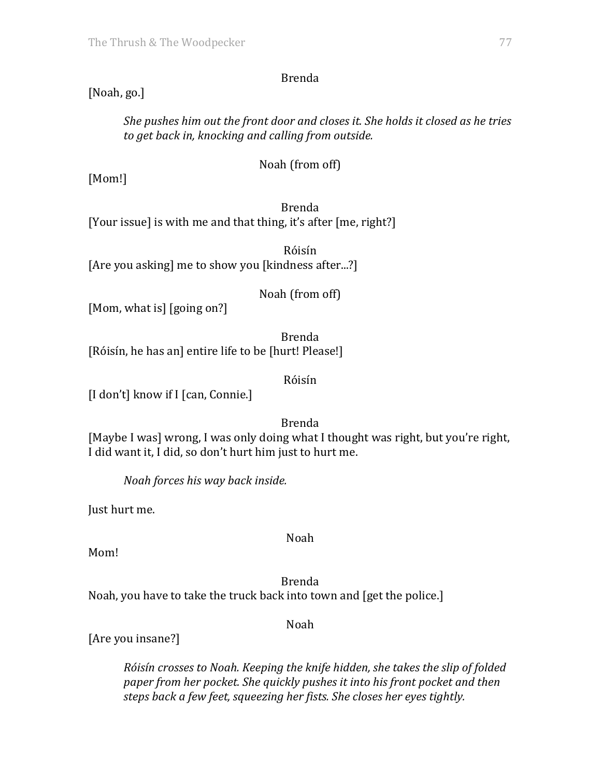Brenda

# [Noah, go.]

She pushes him out the front door and closes it. She holds it closed as he tries *to get back in, knocking and calling from outside.*

Noah (from off)

[Mom!]

Brenda [Your issue] is with me and that thing, it's after [me, right?]

Róisín [Are you asking] me to show you [kindness after...?]

Noah (from off)

[Mom, what is] [going on?]

Brenda [Róisín, he has an] entire life to be [hurt! Please!]

Róisín

[I don't] know if I [can, Connie.]

Brenda

[Maybe I was] wrong, I was only doing what I thought was right, but you're right, I did want it, I did, so don't hurt him just to hurt me.

*Noah forces his way back inside.*

Just hurt me.

Noah

Mom!

Brenda Noah, you have to take the truck back into town and [get the police.]

Noah

[Are you insane?]

*Róisín crosses to Noah. Keeping the knife hidden, she takes the slip of folded paper from her pocket. She quickly pushes it into his front pocket and then steps* back a few feet, squeezing her fists. She closes her eyes tightly.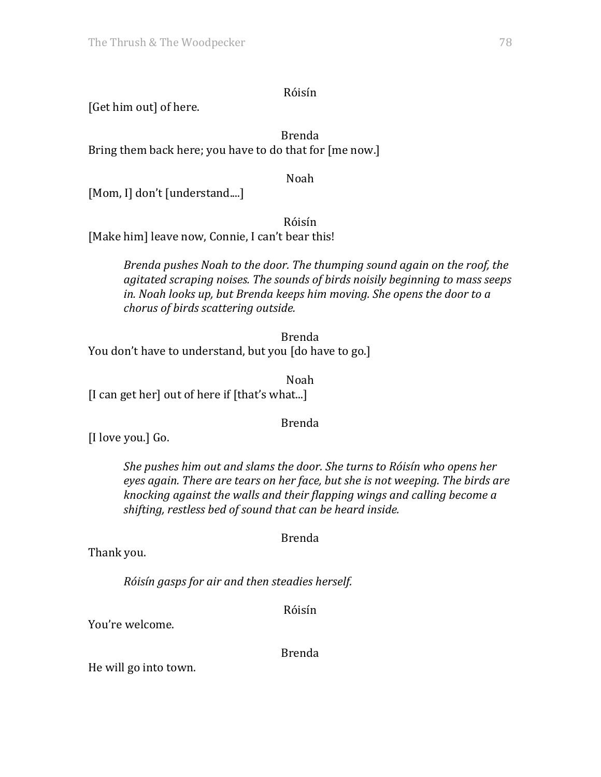## Róisín

[Get him out] of here.

Brenda Bring them back here; you have to do that for [me now.]

Noah

[Mom, I] don't [understand....]

Róisín

[Make him] leave now, Connie, I can't bear this!

*Brenda pushes Noah to the door. The thumping sound again on the roof, the* agitated scraping noises. The sounds of birds noisily beginning to mass seeps *in.* Noah looks up, but Brenda keeps him moving. She opens the door to a *chorus of birds scattering outside.*

Brenda You don't have to understand, but you [do have to go.]

Noah

[I can get her] out of here if [that's what...]

# Brenda

[I love you.] Go.

*She pushes him out and slams the door. She turns to Róisín who opens her eyes again. There are tears on her face, but she is not weeping. The birds are knocking against the walls and their flapping wings and calling become a* shifting, restless bed of sound that can be heard inside.

Brenda

Thank you.

*Róisín gasps for air and then steadies herself.*

Róisín

You're welcome.

Brenda

He will go into town.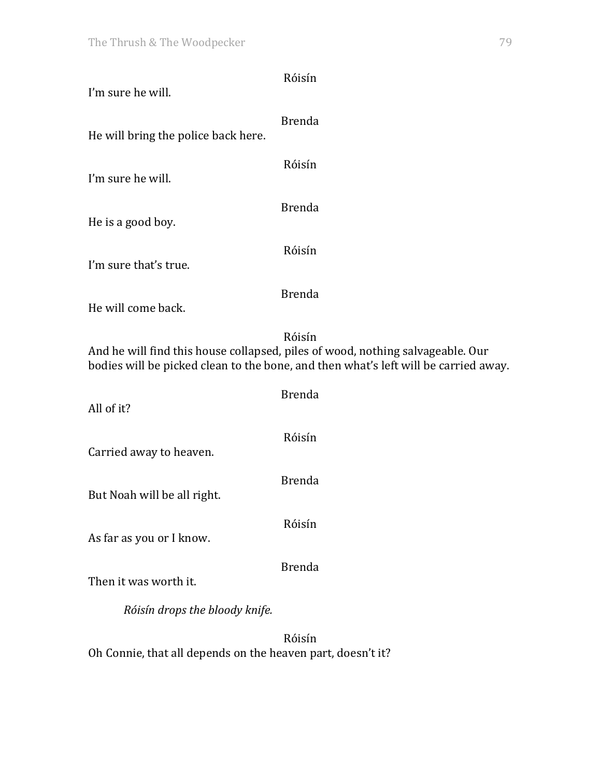| I'm sure he will.                                                                                                                                                               | Róisín        |  |
|---------------------------------------------------------------------------------------------------------------------------------------------------------------------------------|---------------|--|
| He will bring the police back here.                                                                                                                                             | <b>Brenda</b> |  |
| I'm sure he will.                                                                                                                                                               | Róisín        |  |
| He is a good boy.                                                                                                                                                               | <b>Brenda</b> |  |
| I'm sure that's true.                                                                                                                                                           | Róisín        |  |
| He will come back.                                                                                                                                                              | <b>Brenda</b> |  |
| Róisín<br>And he will find this house collapsed, piles of wood, nothing salvageable. Our<br>bodies will be picked clean to the bone, and then what's left will be carried away. |               |  |
| All of it?                                                                                                                                                                      | <b>Brenda</b> |  |
| Carried away to heaven.                                                                                                                                                         | Róisín        |  |
| But Noah will be all right.                                                                                                                                                     | <b>Brenda</b> |  |
| As far as you or I know.                                                                                                                                                        | Róisín        |  |
| Then it was worth it.                                                                                                                                                           | <b>Brenda</b> |  |
| Róisín drops the bloody knife.                                                                                                                                                  |               |  |
| Oh Connie, that all depends on the heaven part, doesn't it?                                                                                                                     | Róisín        |  |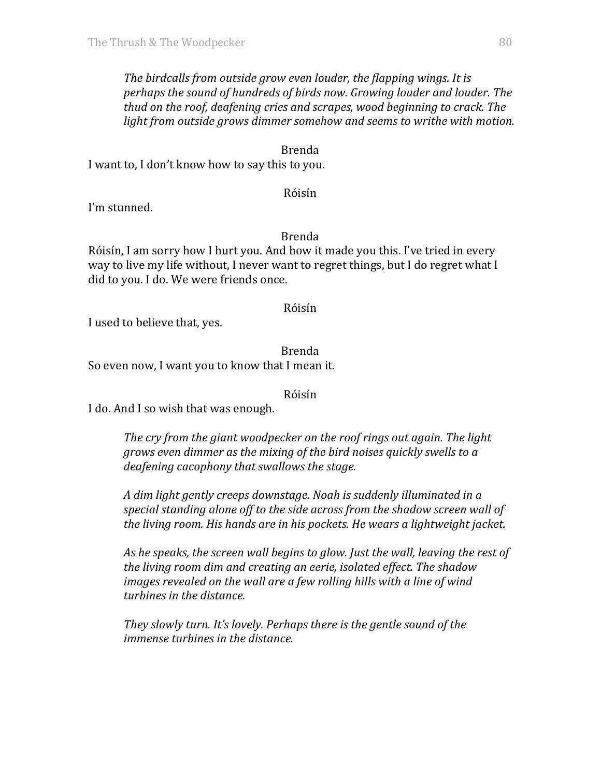*The birdcalls from outside grow even louder, the flapping wings. It is perhaps* the sound of hundreds of birds now. Growing louder and louder. The *thud* on the roof, deafening cries and scrapes, wood beginning to crack. The *light* from outside grows dimmer somehow and seems to writhe with motion.

#### Brenda

I want to, I don't know how to say this to you.

#### Róisín

I'm stunned.

#### Brenda

Róisín, I am sorry how I hurt you. And how it made you this. I've tried in every way to live my life without, I never want to regret things, but I do regret what I did to you. I do. We were friends once.

#### Róisín

I used to believe that, yes.

Brenda So even now, I want you to know that I mean it.

Róisín

I do. And I so wish that was enough.

*The cry from the giant woodpecker on the roof rings out again. The light grows* even dimmer as the mixing of the bird noises quickly swells to a *deafening cacophony that swallows the stage.* 

A dim light gently creeps downstage. Noah is suddenly illuminated in a *special standing alone off to the side across from the shadow screen wall of the living room. His hands are in his pockets. He wears a lightweight jacket.* 

As he speaks, the screen wall begins to glow. Just the wall, leaving the rest of *the living room dim and creating an eerie, isolated effect. The shadow images revealed on the wall are a few rolling hills with a line of wind turbines in the distance.* 

*They slowly turn. It's lovely. Perhaps there is the gentle sound of the immense turbines in the distance.*